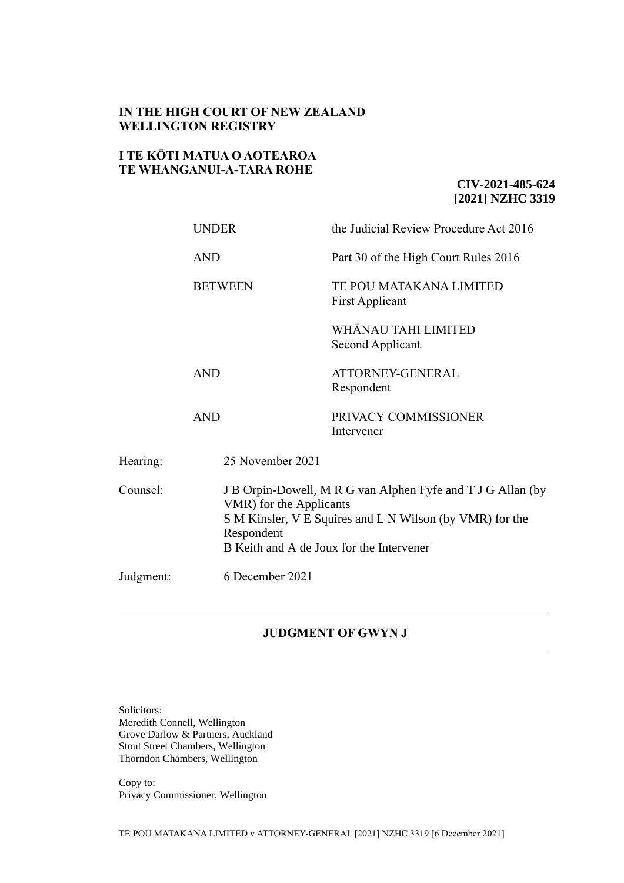# **IN THE HIGH COURT OF NEW ZEALAND WELLINGTON REGISTRY**

# **I TE KŌTI MATUA O AOTEAROA TE WHANGANUI-A-TARA ROHE**

# **CIV-2021-485-624 [2021] NZHC 3319**

|           | <b>UNDER</b>     | the Judicial Review Procedure Act 2016                                                                                                                                                         |  |
|-----------|------------------|------------------------------------------------------------------------------------------------------------------------------------------------------------------------------------------------|--|
|           | <b>AND</b>       | Part 30 of the High Court Rules 2016                                                                                                                                                           |  |
|           | <b>BETWEEN</b>   | TE POU MATAKANA LIMITED<br><b>First Applicant</b>                                                                                                                                              |  |
|           |                  | WHĀNAU TAHI LIMITED<br>Second Applicant                                                                                                                                                        |  |
|           | <b>AND</b>       | ATTORNEY-GENERAL<br>Respondent                                                                                                                                                                 |  |
|           | <b>AND</b>       | PRIVACY COMMISSIONER<br>Intervener                                                                                                                                                             |  |
| Hearing:  | 25 November 2021 |                                                                                                                                                                                                |  |
| Counsel:  | Respondent       | J B Orpin-Dowell, M R G van Alphen Fyfe and T J G Allan (by<br>VMR) for the Applicants<br>S M Kinsler, V E Squires and L N Wilson (by VMR) for the<br>B Keith and A de Joux for the Intervener |  |
| Judgment: | 6 December 2021  |                                                                                                                                                                                                |  |

## **JUDGMENT OF GWYN J**

Solicitors: Meredith Connell, Wellington Grove Darlow & Partners, Auckland Stout Street Chambers, Wellington Thorndon Chambers, Wellington

Copy to: Privacy Commissioner, Wellington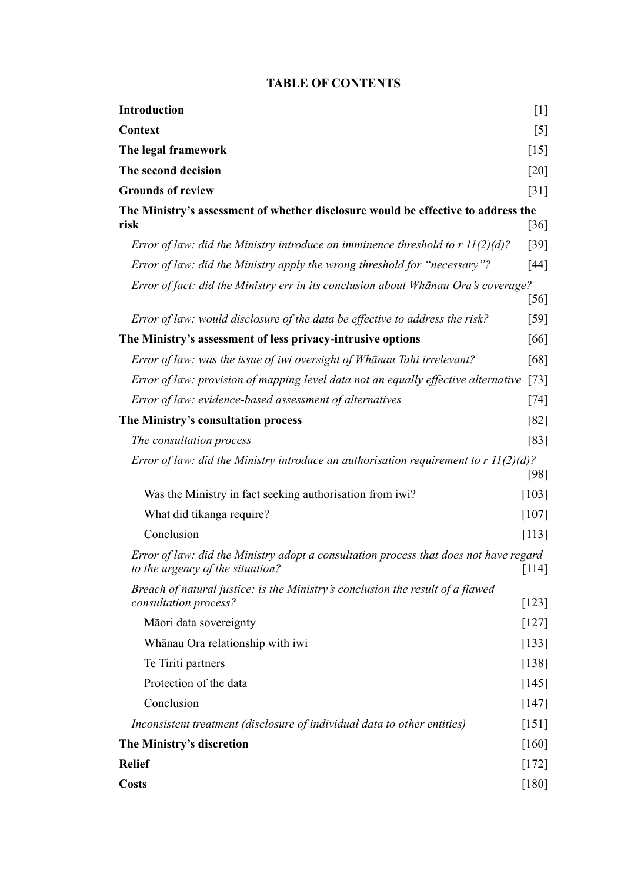# **TABLE OF CONTENTS**

| <b>Introduction</b>                                                                                                       | $[1]$                             |
|---------------------------------------------------------------------------------------------------------------------------|-----------------------------------|
| Context                                                                                                                   | $\begin{bmatrix} 5 \end{bmatrix}$ |
| The legal framework                                                                                                       | $\lceil 15 \rceil$                |
| The second decision                                                                                                       | [20]                              |
| <b>Grounds of review</b>                                                                                                  | [31]                              |
| The Ministry's assessment of whether disclosure would be effective to address the<br>risk                                 | $\lceil 36 \rceil$                |
| Error of law: did the Ministry introduce an imminence threshold to $r \Pi(2)(d)$ ?                                        | [39]                              |
| Error of law: did the Ministry apply the wrong threshold for "necessary"?                                                 | $[44]$                            |
| Error of fact: did the Ministry err in its conclusion about Whānau Ora's coverage?                                        | [56]                              |
| Error of law: would disclosure of the data be effective to address the risk?                                              | $[59]$                            |
| The Ministry's assessment of less privacy-intrusive options                                                               | [66]                              |
| Error of law: was the issue of iwi oversight of Whanau Tahi irrelevant?                                                   | [68]                              |
| Error of law: provision of mapping level data not an equally effective alternative                                        | $[73]$                            |
| Error of law: evidence-based assessment of alternatives                                                                   | $[74]$                            |
| The Ministry's consultation process                                                                                       | [82]                              |
| The consultation process                                                                                                  | [83]                              |
| Error of law: did the Ministry introduce an authorisation requirement to $r \Pi(2)(d)$ ?                                  | [98]                              |
| Was the Ministry in fact seeking authorisation from iwi?                                                                  | $\lceil 103 \rceil$               |
| What did tikanga require?                                                                                                 | $[107]$                           |
| Conclusion                                                                                                                | [113]                             |
| Error of law: did the Ministry adopt a consultation process that does not have regard<br>to the urgency of the situation? | $[114]$                           |
| Breach of natural justice: is the Ministry's conclusion the result of a flawed<br>consultation process?                   | $[123]$                           |
| Māori data sovereignty                                                                                                    | $[127]$                           |
| Whānau Ora relationship with iwi                                                                                          | $[133]$                           |
| Te Tiriti partners                                                                                                        | $[138]$                           |
| Protection of the data                                                                                                    | $[145]$                           |
| Conclusion                                                                                                                | $[147]$                           |
| Inconsistent treatment (disclosure of individual data to other entities)                                                  | $[151]$                           |
| The Ministry's discretion                                                                                                 |                                   |
| <b>Relief</b>                                                                                                             | $[172]$                           |
| <b>Costs</b>                                                                                                              | [180]                             |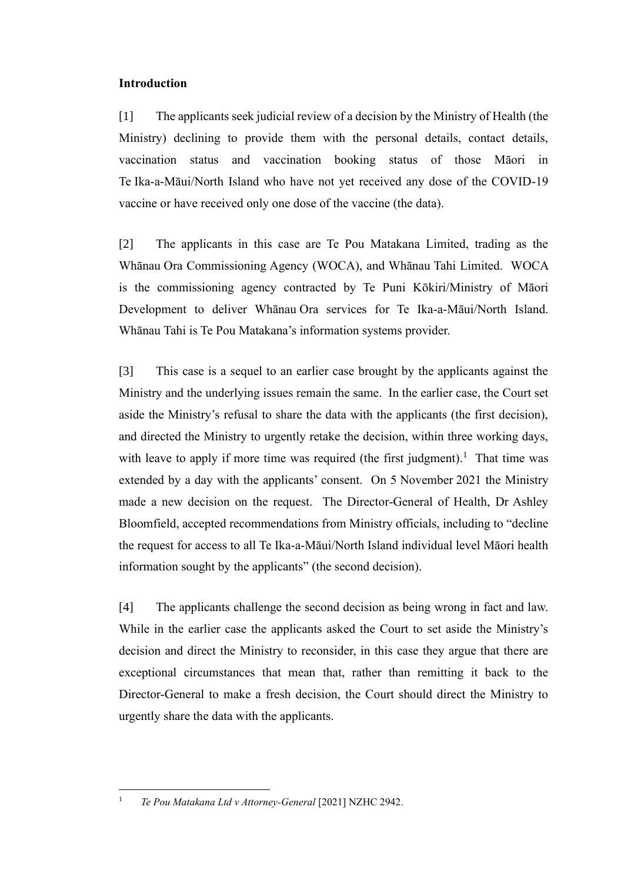## <span id="page-2-0"></span>**Introduction**

[1] The applicants seek judicial review of a decision by the Ministry of Health (the Ministry) declining to provide them with the personal details, contact details, vaccination status and vaccination booking status of those Māori in Te Ika-a-Māui/North Island who have not yet received any dose of the COVID-19 vaccine or have received only one dose of the vaccine (the data).

[2] The applicants in this case are Te Pou Matakana Limited, trading as the Whānau Ora Commissioning Agency (WOCA), and Whānau Tahi Limited. WOCA is the commissioning agency contracted by Te Puni Kōkiri/Ministry of Māori Development to deliver Whānau Ora services for Te Ika-a-Māui/North Island. Whānau Tahi is Te Pou Matakana's information systems provider.

<span id="page-2-1"></span>[3] This case is a sequel to an earlier case brought by the applicants against the Ministry and the underlying issues remain the same. In the earlier case, the Court set aside the Ministry's refusal to share the data with the applicants (the first decision), and directed the Ministry to urgently retake the decision, within three working days, with leave to apply if more time was required (the first judgment).<sup>1</sup> That time was extended by a day with the applicants' consent. On 5 November 2021 the Ministry made a new decision on the request. The Director-General of Health, Dr Ashley Bloomfield, accepted recommendations from Ministry officials, including to "decline the request for access to all Te Ika-a-Māui/North Island individual level Māori health information sought by the applicants" (the second decision).

[4] The applicants challenge the second decision as being wrong in fact and law. While in the earlier case the applicants asked the Court to set aside the Ministry's decision and direct the Ministry to reconsider, in this case they argue that there are exceptional circumstances that mean that, rather than remitting it back to the Director-General to make a fresh decision, the Court should direct the Ministry to urgently share the data with the applicants.

<sup>1</sup> *Te Pou Matakana Ltd v Attorney-General* [2021] NZHC 2942.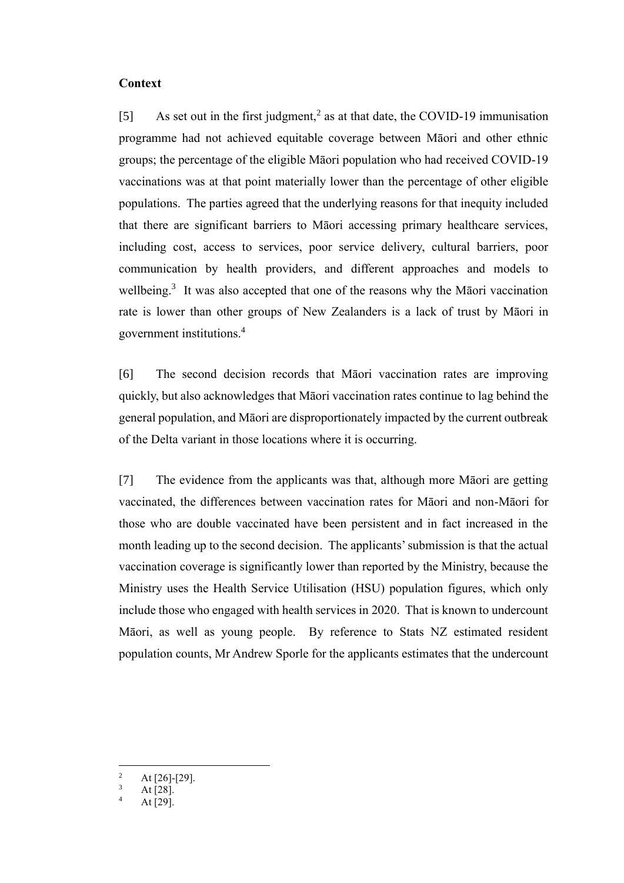#### <span id="page-3-0"></span>**Context**

[5] As set out in the first judgment,<sup>2</sup> as at that date, the COVID-19 immunisation programme had not achieved equitable coverage between Māori and other ethnic groups; the percentage of the eligible Māori population who had received COVID-19 vaccinations was at that point materially lower than the percentage of other eligible populations. The parties agreed that the underlying reasons for that inequity included that there are significant barriers to Māori accessing primary healthcare services, including cost, access to services, poor service delivery, cultural barriers, poor communication by health providers, and different approaches and models to wellbeing.<sup>3</sup> It was also accepted that one of the reasons why the Māori vaccination rate is lower than other groups of New Zealanders is a lack of trust by Māori in government institutions.<sup>4</sup>

[6] The second decision records that Māori vaccination rates are improving quickly, but also acknowledges that Māori vaccination rates continue to lag behind the general population, and Māori are disproportionately impacted by the current outbreak of the Delta variant in those locations where it is occurring.

[7] The evidence from the applicants was that, although more Māori are getting vaccinated, the differences between vaccination rates for Māori and non-Māori for those who are double vaccinated have been persistent and in fact increased in the month leading up to the second decision. The applicants' submission is that the actual vaccination coverage is significantly lower than reported by the Ministry, because the Ministry uses the Health Service Utilisation (HSU) population figures, which only include those who engaged with health services in 2020. That is known to undercount Māori, as well as young people. By reference to Stats NZ estimated resident population counts, Mr Andrew Sporle for the applicants estimates that the undercount

<sup>&</sup>lt;sup>2</sup> At [26]-[29].

At [28].

At [29].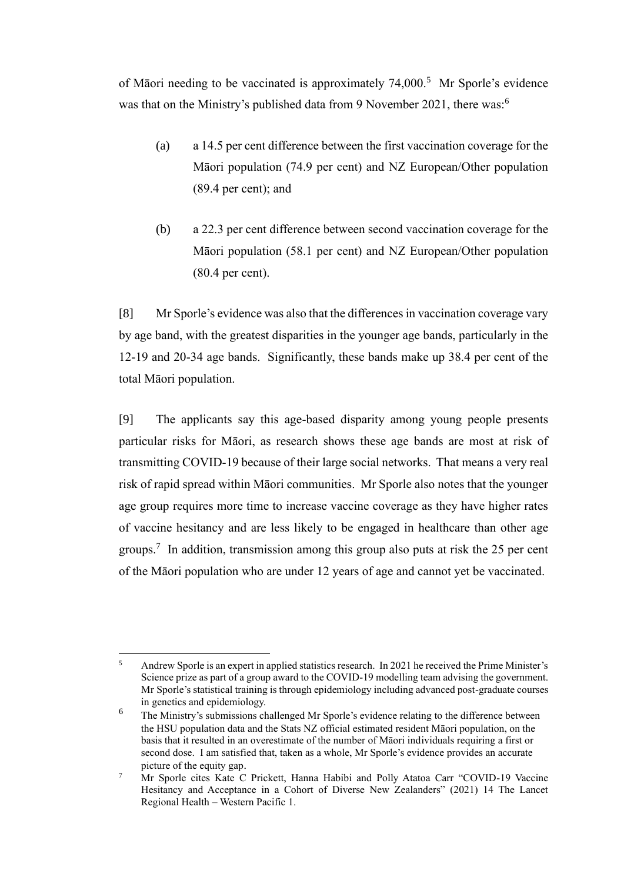of Māori needing to be vaccinated is approximately 74,000.<sup>5</sup> Mr Sporle's evidence was that on the Ministry's published data from 9 November 2021, there was:<sup>6</sup>

- (a) a 14.5 per cent difference between the first vaccination coverage for the Māori population (74.9 per cent) and NZ European/Other population (89.4 per cent); and
- (b) a 22.3 per cent difference between second vaccination coverage for the Māori population (58.1 per cent) and NZ European/Other population (80.4 per cent).

[8] Mr Sporle's evidence was also that the differences in vaccination coverage vary by age band, with the greatest disparities in the younger age bands, particularly in the 12-19 and 20-34 age bands. Significantly, these bands make up 38.4 per cent of the total Māori population.

[9] The applicants say this age-based disparity among young people presents particular risks for Māori, as research shows these age bands are most at risk of transmitting COVID-19 because of their large social networks. That means a very real risk of rapid spread within Māori communities. Mr Sporle also notes that the younger age group requires more time to increase vaccine coverage as they have higher rates of vaccine hesitancy and are less likely to be engaged in healthcare than other age groups.<sup>7</sup> In addition, transmission among this group also puts at risk the 25 per cent of the Māori population who are under 12 years of age and cannot yet be vaccinated.

<sup>5</sup> Andrew Sporle is an expert in applied statistics research. In 2021 he received the Prime Minister's Science prize as part of a group award to the COVID-19 modelling team advising the government. Mr Sporle's statistical training is through epidemiology including advanced post-graduate courses in genetics and epidemiology.

 $6$  The Ministry's submissions challenged Mr Sporle's evidence relating to the difference between the HSU population data and the Stats NZ official estimated resident Māori population, on the basis that it resulted in an overestimate of the number of Māori individuals requiring a first or second dose. I am satisfied that, taken as a whole, Mr Sporle's evidence provides an accurate picture of the equity gap.

<sup>&</sup>lt;sup>7</sup> Mr Sporle cites Kate C Prickett, Hanna Habibi and Polly Atatoa Carr "COVID-19 Vaccine Hesitancy and Acceptance in a Cohort of Diverse New Zealanders" (2021) 14 The Lancet Regional Health – Western Pacific 1.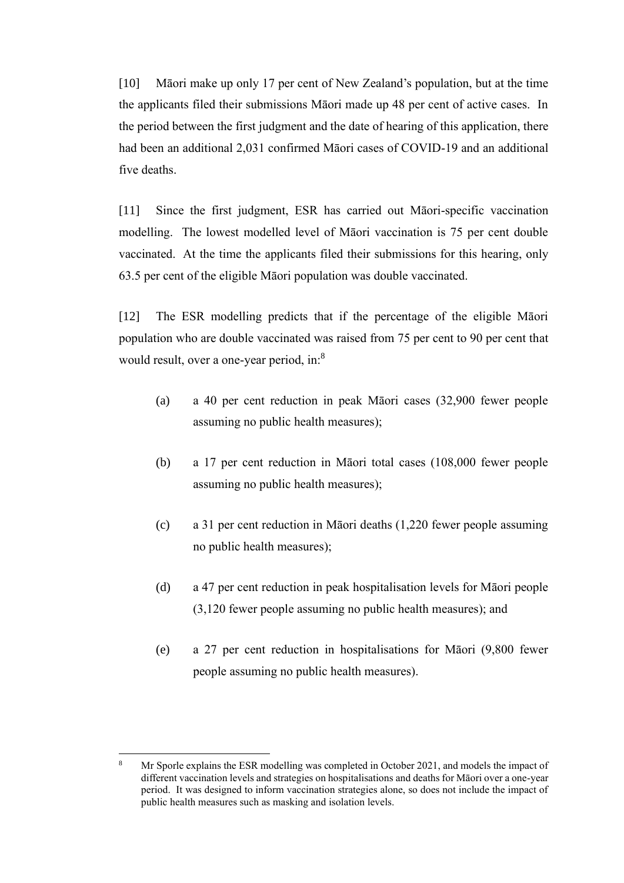[10] Māori make up only 17 per cent of New Zealand's population, but at the time the applicants filed their submissions Māori made up 48 per cent of active cases. In the period between the first judgment and the date of hearing of this application, there had been an additional 2,031 confirmed Māori cases of COVID-19 and an additional five deaths.

[11] Since the first judgment, ESR has carried out Māori-specific vaccination modelling. The lowest modelled level of Māori vaccination is 75 per cent double vaccinated. At the time the applicants filed their submissions for this hearing, only 63.5 per cent of the eligible Māori population was double vaccinated.

[12] The ESR modelling predicts that if the percentage of the eligible Māori population who are double vaccinated was raised from 75 per cent to 90 per cent that would result, over a one-year period, in:<sup>8</sup>

- (a) a 40 per cent reduction in peak Māori cases (32,900 fewer people assuming no public health measures);
- (b) a 17 per cent reduction in Māori total cases (108,000 fewer people assuming no public health measures);
- (c) a 31 per cent reduction in Māori deaths (1,220 fewer people assuming no public health measures);
- (d) a 47 per cent reduction in peak hospitalisation levels for Māori people (3,120 fewer people assuming no public health measures); and
- (e) a 27 per cent reduction in hospitalisations for Māori (9,800 fewer people assuming no public health measures).

<sup>8</sup> Mr Sporle explains the ESR modelling was completed in October 2021, and models the impact of different vaccination levels and strategies on hospitalisations and deaths for Māori over a one-year period. It was designed to inform vaccination strategies alone, so does not include the impact of public health measures such as masking and isolation levels.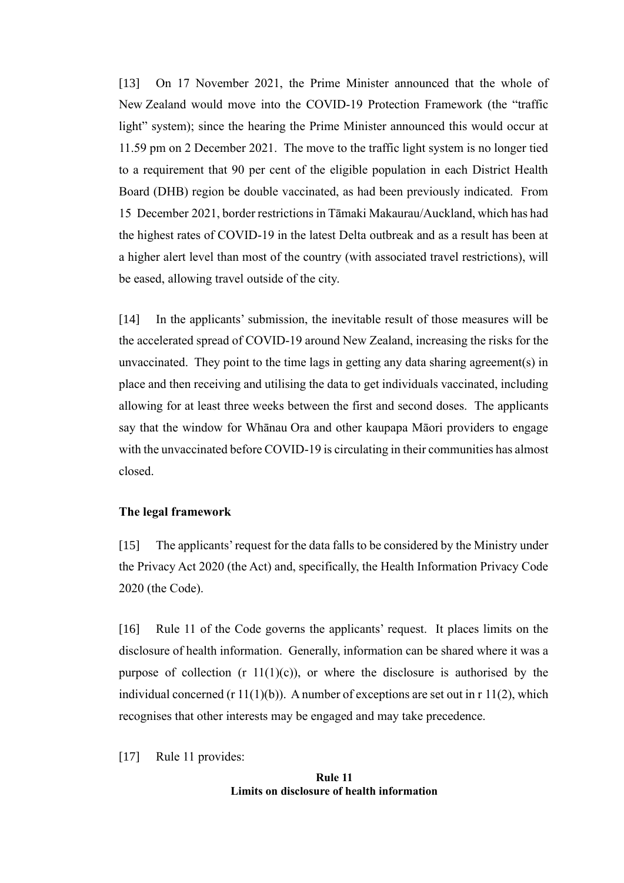[13] On 17 November 2021, the Prime Minister announced that the whole of New Zealand would move into the COVID-19 Protection Framework (the "traffic light" system); since the hearing the Prime Minister announced this would occur at 11.59 pm on 2 December 2021.The move to the traffic light system is no longer tied to a requirement that 90 per cent of the eligible population in each District Health Board (DHB) region be double vaccinated, as had been previously indicated. From 15 December 2021, border restrictions in Tāmaki Makaurau/Auckland, which has had the highest rates of COVID-19 in the latest Delta outbreak and as a result has been at a higher alert level than most of the country (with associated travel restrictions), will be eased, allowing travel outside of the city.

[14] In the applicants' submission, the inevitable result of those measures will be the accelerated spread of COVID-19 around New Zealand, increasing the risks for the unvaccinated. They point to the time lags in getting any data sharing agreement(s) in place and then receiving and utilising the data to get individuals vaccinated, including allowing for at least three weeks between the first and second doses. The applicants say that the window for Whānau Ora and other kaupapa Māori providers to engage with the unvaccinated before COVID-19 is circulating in their communities has almost closed.

### <span id="page-6-0"></span>**The legal framework**

[15] The applicants' request for the data falls to be considered by the Ministry under the Privacy Act 2020 (the Act) and, specifically, the Health Information Privacy Code 2020 (the Code).

[16] Rule 11 of the Code governs the applicants' request. It places limits on the disclosure of health information. Generally, information can be shared where it was a purpose of collection (r  $11(1)(c)$ ), or where the disclosure is authorised by the individual concerned  $(r 11(1)(b))$ . A number of exceptions are set out in r 11(2), which recognises that other interests may be engaged and may take precedence.

[17] Rule 11 provides:

#### **Rule 11 Limits on disclosure of health information**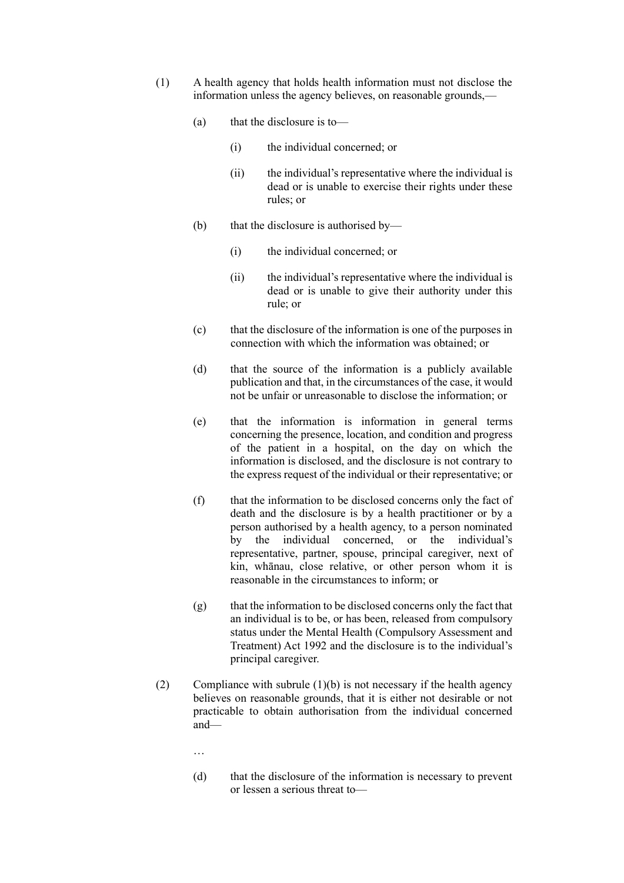- (1) A health agency that holds health information must not disclose the information unless the agency believes, on reasonable grounds,—
	- (a) that the disclosure is to—
		- (i) the individual concerned; or
		- (ii) the individual's representative where the individual is dead or is unable to exercise their rights under these rules; or
	- (b) that the disclosure is authorised by—
		- (i) the individual concerned; or
		- (ii) the individual's representative where the individual is dead or is unable to give their authority under this rule; or
	- (c) that the disclosure of the information is one of the purposes in connection with which the information was obtained; or
	- (d) that the source of the information is a publicly available publication and that, in the circumstances of the case, it would not be unfair or unreasonable to disclose the information; or
	- (e) that the information is information in general terms concerning the presence, location, and condition and progress of the patient in a hospital, on the day on which the information is disclosed, and the disclosure is not contrary to the express request of the individual or their representative; or
	- (f) that the information to be disclosed concerns only the fact of death and the disclosure is by a health practitioner or by a person authorised by a health agency, to a person nominated by the individual concerned, or the individual's representative, partner, spouse, principal caregiver, next of kin, whānau, close relative, or other person whom it is reasonable in the circumstances to inform; or
	- $(g)$  that the information to be disclosed concerns only the fact that an individual is to be, or has been, released from compulsory status under the Mental Health (Compulsory Assessment and Treatment) Act 1992 and the disclosure is to the individual's principal caregiver.
- (2) Compliance with subrule  $(1)(b)$  is not necessary if the health agency believes on reasonable grounds, that it is either not desirable or not practicable to obtain authorisation from the individual concerned and—
	- …
	- (d) that the disclosure of the information is necessary to prevent or lessen a serious threat to—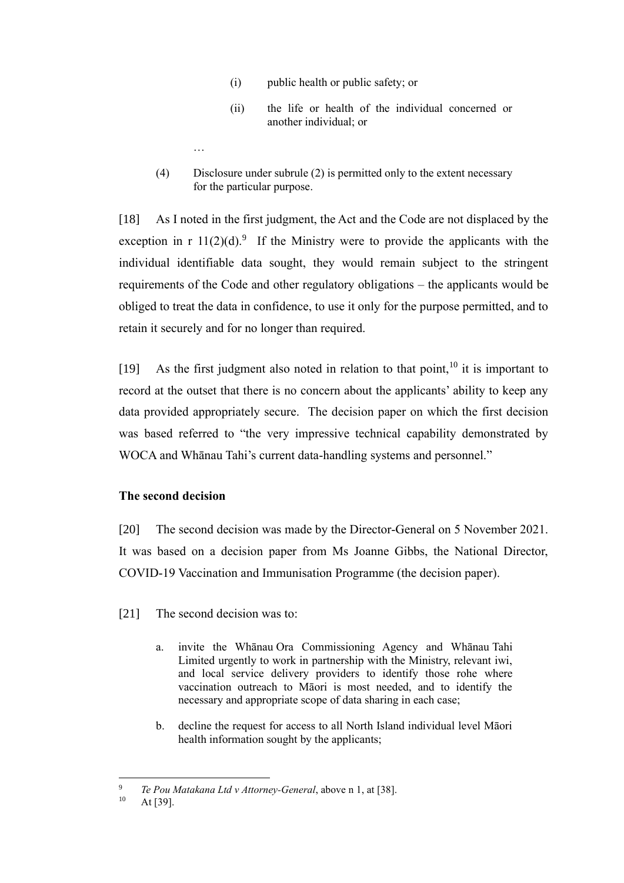- (i) public health or public safety; or
- (ii) the life or health of the individual concerned or another individual; or
- (4) Disclosure under subrule (2) is permitted only to the extent necessary for the particular purpose.

[18] As I noted in the first judgment, the Act and the Code are not displaced by the exception in r  $11(2)(d)$ .<sup>9</sup> If the Ministry were to provide the applicants with the individual identifiable data sought, they would remain subject to the stringent requirements of the Code and other regulatory obligations – the applicants would be obliged to treat the data in confidence, to use it only for the purpose permitted, and to retain it securely and for no longer than required.

[19] As the first judgment also noted in relation to that point,  $10$  it is important to record at the outset that there is no concern about the applicants' ability to keep any data provided appropriately secure. The decision paper on which the first decision was based referred to "the very impressive technical capability demonstrated by WOCA and Whānau Tahi's current data-handling systems and personnel."

## <span id="page-8-0"></span>**The second decision**

…

[20] The second decision was made by the Director-General on 5 November 2021. It was based on a decision paper from Ms Joanne Gibbs, the National Director, COVID-19 Vaccination and Immunisation Programme (the decision paper).

<span id="page-8-1"></span>[21] The second decision was to:

- a. invite the Whānau Ora Commissioning Agency and Whānau Tahi Limited urgently to work in partnership with the Ministry, relevant iwi, and local service delivery providers to identify those rohe where vaccination outreach to Māori is most needed, and to identify the necessary and appropriate scope of data sharing in each case;
- b. decline the request for access to all North Island individual level Māori health information sought by the applicants;

<sup>9</sup> *Te Pou Matakana Ltd v Attorney-General*, above n [1,](#page-2-1) at [38].

<sup>10</sup> At [39].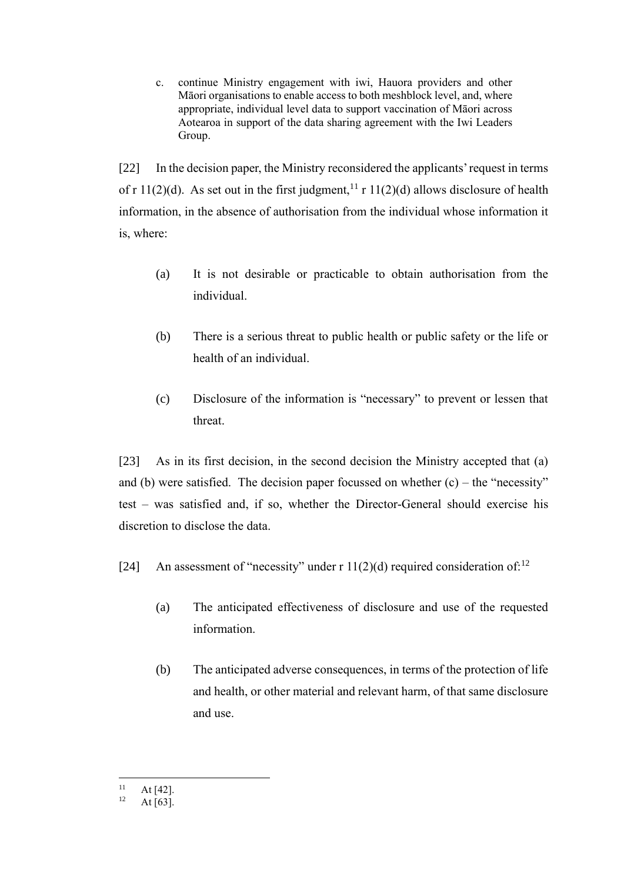c. continue Ministry engagement with iwi, Hauora providers and other Māori organisations to enable access to both meshblock level, and, where appropriate, individual level data to support vaccination of Māori across Aotearoa in support of the data sharing agreement with the Iwi Leaders Group.

[22] In the decision paper, the Ministry reconsidered the applicants' request in terms of r 11(2)(d). As set out in the first judgment,<sup>11</sup> r 11(2)(d) allows disclosure of health information, in the absence of authorisation from the individual whose information it is, where:

- (a) It is not desirable or practicable to obtain authorisation from the individual.
- (b) There is a serious threat to public health or public safety or the life or health of an individual.
- (c) Disclosure of the information is "necessary" to prevent or lessen that threat.

[23] As in its first decision, in the second decision the Ministry accepted that (a) and (b) were satisfied. The decision paper focussed on whether  $(c)$  – the "necessity" test – was satisfied and, if so, whether the Director-General should exercise his discretion to disclose the data.

- [24] An assessment of "necessity" under r  $11(2)(d)$  required consideration of:<sup>12</sup>
	- (a) The anticipated effectiveness of disclosure and use of the requested information.
	- (b) The anticipated adverse consequences, in terms of the protection of life and health, or other material and relevant harm, of that same disclosure and use.

 $11$  At [42].

At  $[63]$ .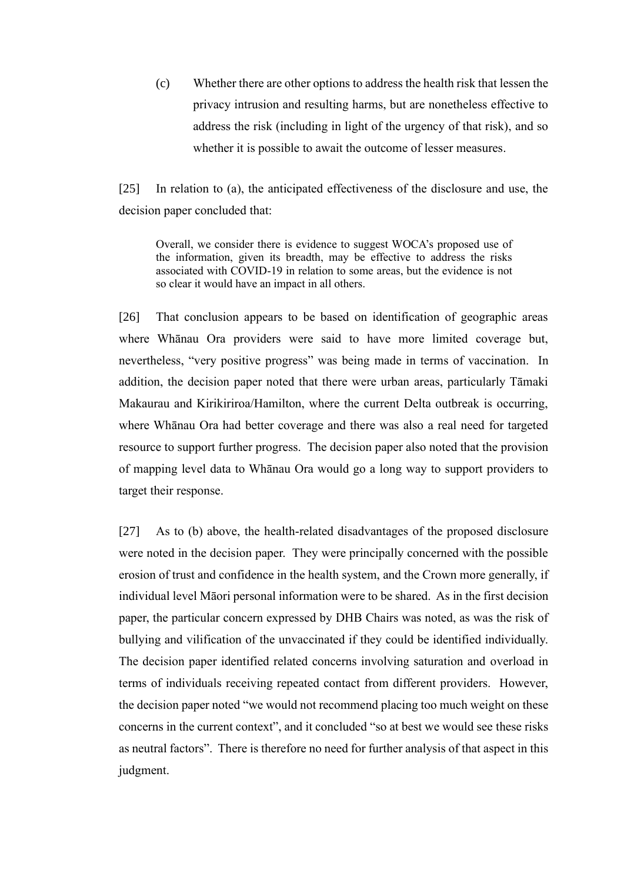(c) Whether there are other options to address the health risk that lessen the privacy intrusion and resulting harms, but are nonetheless effective to address the risk (including in light of the urgency of that risk), and so whether it is possible to await the outcome of lesser measures.

[25] In relation to (a), the anticipated effectiveness of the disclosure and use, the decision paper concluded that:

Overall, we consider there is evidence to suggest WOCA's proposed use of the information, given its breadth, may be effective to address the risks associated with COVID-19 in relation to some areas, but the evidence is not so clear it would have an impact in all others.

[26] That conclusion appears to be based on identification of geographic areas where Whānau Ora providers were said to have more limited coverage but, nevertheless, "very positive progress" was being made in terms of vaccination.In addition, the decision paper noted that there were urban areas, particularly Tāmaki Makaurau and Kirikiriroa/Hamilton, where the current Delta outbreak is occurring, where Whānau Ora had better coverage and there was also a real need for targeted resource to support further progress. The decision paper also noted that the provision of mapping level data to Whānau Ora would go a long way to support providers to target their response.

<span id="page-10-0"></span>[27] As to (b) above, the health-related disadvantages of the proposed disclosure were noted in the decision paper. They were principally concerned with the possible erosion of trust and confidence in the health system, and the Crown more generally, if individual level Māori personal information were to be shared. As in the first decision paper, the particular concern expressed by DHB Chairs was noted, as was the risk of bullying and vilification of the unvaccinated if they could be identified individually. The decision paper identified related concerns involving saturation and overload in terms of individuals receiving repeated contact from different providers. However, the decision paper noted "we would not recommend placing too much weight on these concerns in the current context", and it concluded "so at best we would see these risks as neutral factors". There is therefore no need for further analysis of that aspect in this judgment.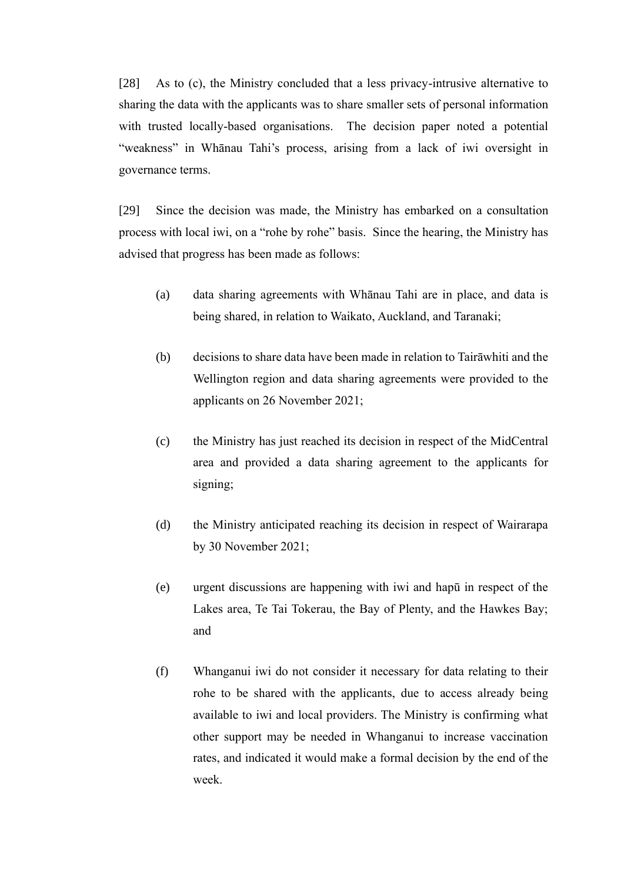[28] As to (c), the Ministry concluded that a less privacy-intrusive alternative to sharing the data with the applicants was to share smaller sets of personal information with trusted locally-based organisations. The decision paper noted a potential "weakness" in Whānau Tahi's process, arising from a lack of iwi oversight in governance terms.

<span id="page-11-0"></span>[29] Since the decision was made, the Ministry has embarked on a consultation process with local iwi, on a "rohe by rohe" basis. Since the hearing, the Ministry has advised that progress has been made as follows:

- (a) data sharing agreements with Whānau Tahi are in place, and data is being shared, in relation to Waikato, Auckland, and Taranaki;
- (b) decisions to share data have been made in relation to Tairāwhiti and the Wellington region and data sharing agreements were provided to the applicants on 26 November 2021;
- (c) the Ministry has just reached its decision in respect of the MidCentral area and provided a data sharing agreement to the applicants for signing;
- (d) the Ministry anticipated reaching its decision in respect of Wairarapa by 30 November 2021;
- (e) urgent discussions are happening with iwi and hapū in respect of the Lakes area, Te Tai Tokerau, the Bay of Plenty, and the Hawkes Bay; and
- (f) Whanganui iwi do not consider it necessary for data relating to their rohe to be shared with the applicants, due to access already being available to iwi and local providers. The Ministry is confirming what other support may be needed in Whanganui to increase vaccination rates, and indicated it would make a formal decision by the end of the week.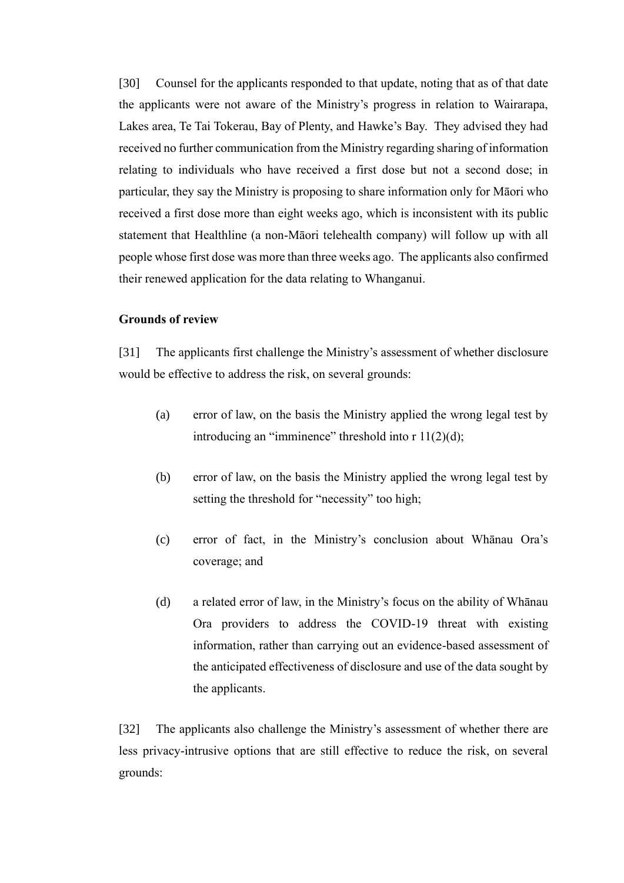[30] Counsel for the applicants responded to that update, noting that as of that date the applicants were not aware of the Ministry's progress in relation to Wairarapa, Lakes area, Te Tai Tokerau, Bay of Plenty, and Hawke's Bay. They advised they had received no further communication from the Ministry regarding sharing of information relating to individuals who have received a first dose but not a second dose; in particular, they say the Ministry is proposing to share information only for Māori who received a first dose more than eight weeks ago, which is inconsistent with its public statement that Healthline (a non-Māori telehealth company) will follow up with all people whose first dose was more than three weeks ago. The applicants also confirmed their renewed application for the data relating to Whanganui.

#### <span id="page-12-0"></span>**Grounds of review**

[31] The applicants first challenge the Ministry's assessment of whether disclosure would be effective to address the risk, on several grounds:

- (a) error of law, on the basis the Ministry applied the wrong legal test by introducing an "imminence" threshold into  $r 11(2)(d)$ ;
- (b) error of law, on the basis the Ministry applied the wrong legal test by setting the threshold for "necessity" too high;
- (c) error of fact, in the Ministry's conclusion about Whānau Ora's coverage; and
- (d) a related error of law, in the Ministry's focus on the ability of Whānau Ora providers to address the COVID-19 threat with existing information, rather than carrying out an evidence-based assessment of the anticipated effectiveness of disclosure and use of the data sought by the applicants.

[32] The applicants also challenge the Ministry's assessment of whether there are less privacy-intrusive options that are still effective to reduce the risk, on several grounds: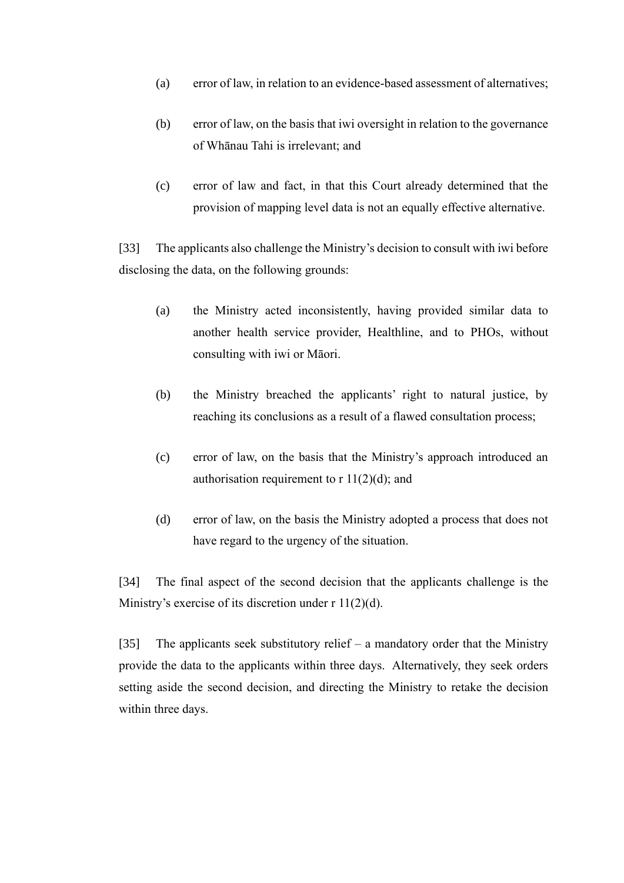- (a) error of law, in relation to an evidence-based assessment of alternatives;
- (b) error of law, on the basis that iwi oversight in relation to the governance of Whānau Tahi is irrelevant; and
- (c) error of law and fact, in that this Court already determined that the provision of mapping level data is not an equally effective alternative.

[33] The applicants also challenge the Ministry's decision to consult with iwi before disclosing the data, on the following grounds:

- (a) the Ministry acted inconsistently, having provided similar data to another health service provider, Healthline, and to PHOs, without consulting with iwi or Māori.
- (b) the Ministry breached the applicants' right to natural justice, by reaching its conclusions as a result of a flawed consultation process;
- (c) error of law, on the basis that the Ministry's approach introduced an authorisation requirement to  $r 11(2)(d)$ ; and
- (d) error of law, on the basis the Ministry adopted a process that does not have regard to the urgency of the situation.

[34] The final aspect of the second decision that the applicants challenge is the Ministry's exercise of its discretion under  $r \frac{11(2)}{d}$ .

[35] The applicants seek substitutory relief – a mandatory order that the Ministry provide the data to the applicants within three days. Alternatively, they seek orders setting aside the second decision, and directing the Ministry to retake the decision within three days.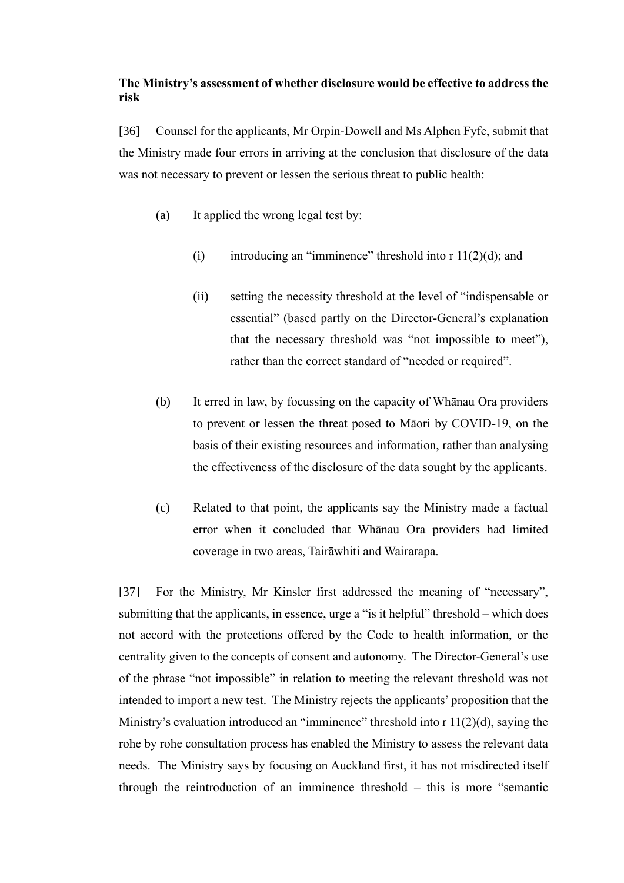# <span id="page-14-0"></span>**The Ministry's assessment of whether disclosure would be effective to address the risk**

[36] Counsel for the applicants, Mr Orpin-Dowell and Ms Alphen Fyfe, submit that the Ministry made four errors in arriving at the conclusion that disclosure of the data was not necessary to prevent or lessen the serious threat to public health:

- (a) It applied the wrong legal test by:
	- (i) introducing an "imminence" threshold into  $r \frac{11(2)}{d}$ ; and
	- (ii) setting the necessity threshold at the level of "indispensable or essential" (based partly on the Director-General's explanation that the necessary threshold was "not impossible to meet"), rather than the correct standard of "needed or required".
- (b) It erred in law, by focussing on the capacity of Whānau Ora providers to prevent or lessen the threat posed to Māori by COVID-19, on the basis of their existing resources and information, rather than analysing the effectiveness of the disclosure of the data sought by the applicants.
- (c) Related to that point, the applicants say the Ministry made a factual error when it concluded that Whānau Ora providers had limited coverage in two areas, Tairāwhiti and Wairarapa.

[37] For the Ministry, Mr Kinsler first addressed the meaning of "necessary", submitting that the applicants, in essence, urge a "is it helpful" threshold – which does not accord with the protections offered by the Code to health information, or the centrality given to the concepts of consent and autonomy. The Director-General's use of the phrase "not impossible" in relation to meeting the relevant threshold was not intended to import a new test. The Ministry rejects the applicants' proposition that the Ministry's evaluation introduced an "imminence" threshold into r 11(2)(d), saying the rohe by rohe consultation process has enabled the Ministry to assess the relevant data needs. The Ministry says by focusing on Auckland first, it has not misdirected itself through the reintroduction of an imminence threshold – this is more "semantic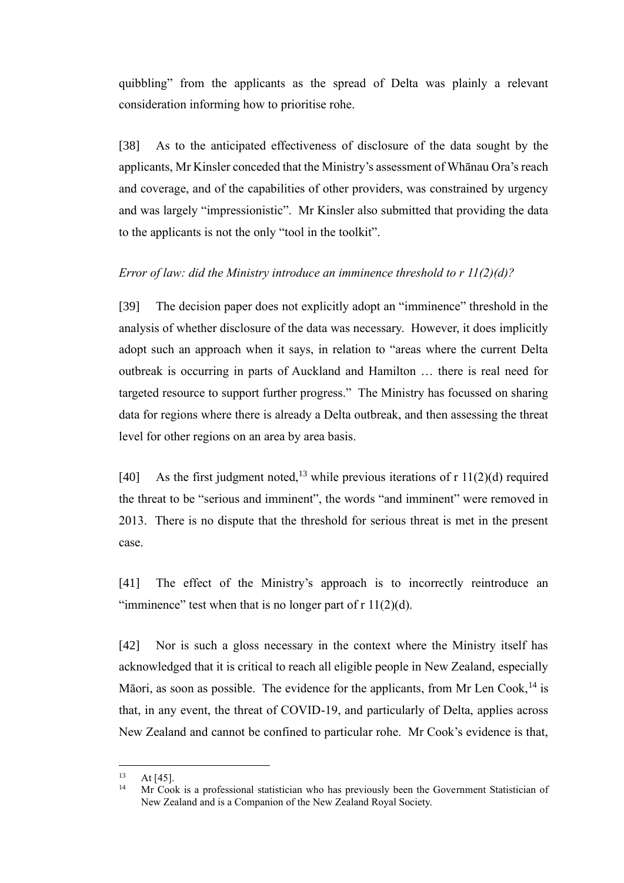quibbling" from the applicants as the spread of Delta was plainly a relevant consideration informing how to prioritise rohe.

[38] As to the anticipated effectiveness of disclosure of the data sought by the applicants, Mr Kinsler conceded that the Ministry's assessment of Whānau Ora's reach and coverage, and of the capabilities of other providers, was constrained by urgency and was largely "impressionistic". Mr Kinsler also submitted that providing the data to the applicants is not the only "tool in the toolkit".

# <span id="page-15-0"></span>*Error of law: did the Ministry introduce an imminence threshold to r 11(2)(d)?*

[39] The decision paper does not explicitly adopt an "imminence" threshold in the analysis of whether disclosure of the data was necessary. However, it does implicitly adopt such an approach when it says, in relation to "areas where the current Delta outbreak is occurring in parts of Auckland and Hamilton … there is real need for targeted resource to support further progress." The Ministry has focussed on sharing data for regions where there is already a Delta outbreak, and then assessing the threat level for other regions on an area by area basis.

[40] As the first judgment noted,<sup>13</sup> while previous iterations of r  $11(2)(d)$  required the threat to be "serious and imminent", the words "and imminent" were removed in 2013. There is no dispute that the threshold for serious threat is met in the present case.

[41] The effect of the Ministry's approach is to incorrectly reintroduce an "imminence" test when that is no longer part of  $r \frac{11}{2}(d)$ .

[42] Nor is such a gloss necessary in the context where the Ministry itself has acknowledged that it is critical to reach all eligible people in New Zealand, especially Māori, as soon as possible. The evidence for the applicants, from Mr Len Cook,<sup>14</sup> is that, in any event, the threat of COVID-19, and particularly of Delta, applies across New Zealand and cannot be confined to particular rohe. Mr Cook's evidence is that,

 $13$  At [45].

Mr Cook is a professional statistician who has previously been the Government Statistician of New Zealand and is a Companion of the New Zealand Royal Society.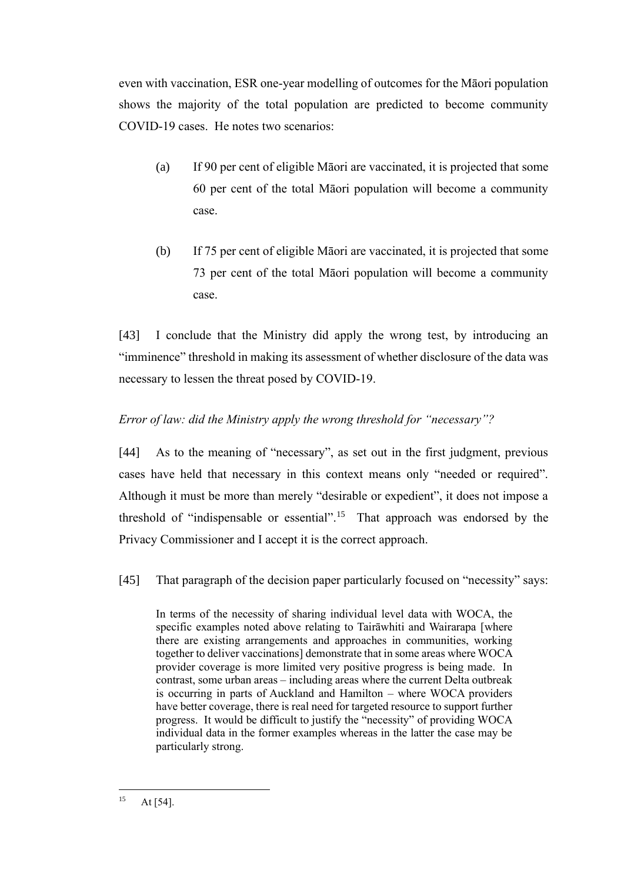even with vaccination, ESR one-year modelling of outcomes for the Māori population shows the majority of the total population are predicted to become community COVID-19 cases. He notes two scenarios:

- (a) If 90 per cent of eligible Māori are vaccinated, it is projected that some 60 per cent of the total Māori population will become a community case.
- (b) If 75 per cent of eligible Māori are vaccinated, it is projected that some 73 per cent of the total Māori population will become a community case.

[43] I conclude that the Ministry did apply the wrong test, by introducing an "imminence" threshold in making its assessment of whether disclosure of the data was necessary to lessen the threat posed by COVID-19.

# <span id="page-16-0"></span>*Error of law: did the Ministry apply the wrong threshold for "necessary"?*

[44] As to the meaning of "necessary", as set out in the first judgment, previous cases have held that necessary in this context means only "needed or required". Although it must be more than merely "desirable or expedient", it does not impose a threshold of "indispensable or essential".<sup>15</sup> That approach was endorsed by the Privacy Commissioner and I accept it is the correct approach.

[45] That paragraph of the decision paper particularly focused on "necessity" says:

In terms of the necessity of sharing individual level data with WOCA, the specific examples noted above relating to Tairāwhiti and Wairarapa [where there are existing arrangements and approaches in communities, working together to deliver vaccinations] demonstrate that in some areas where WOCA provider coverage is more limited very positive progress is being made. In contrast, some urban areas – including areas where the current Delta outbreak is occurring in parts of Auckland and Hamilton – where WOCA providers have better coverage, there is real need for targeted resource to support further progress. It would be difficult to justify the "necessity" of providing WOCA individual data in the former examples whereas in the latter the case may be particularly strong.

 $15$  At [54].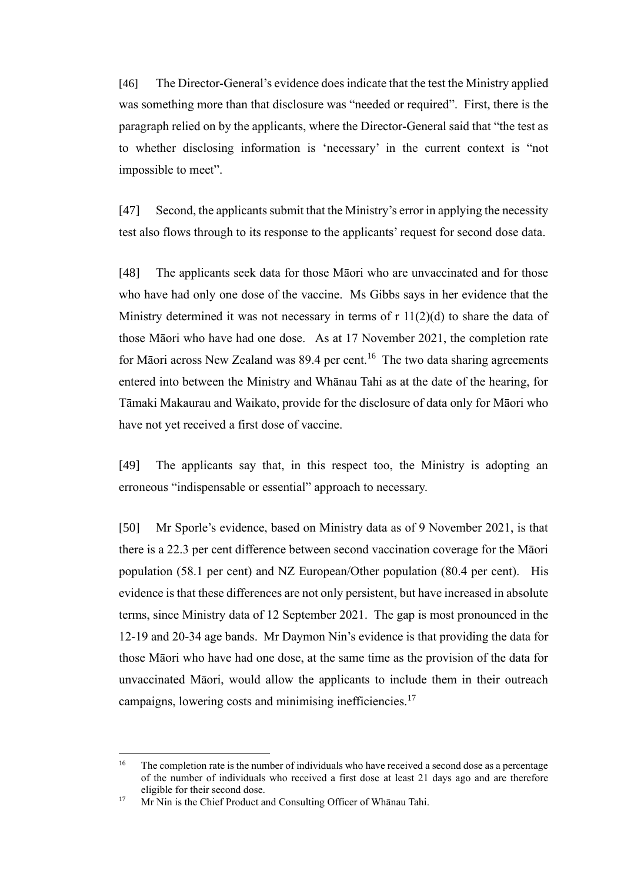[46] The Director-General's evidence does indicate that the test the Ministry applied was something more than that disclosure was "needed or required". First, there is the paragraph relied on by the applicants, where the Director-General said that "the test as to whether disclosing information is 'necessary' in the current context is "not impossible to meet".

[47] Second, the applicants submit that the Ministry's error in applying the necessity test also flows through to its response to the applicants' request for second dose data.

[48] The applicants seek data for those Māori who are unvaccinated and for those who have had only one dose of the vaccine. Ms Gibbs says in her evidence that the Ministry determined it was not necessary in terms of  $r \frac{11}{2}(d)$  to share the data of those Māori who have had one dose. As at 17 November 2021, the completion rate for Māori across New Zealand was  $89.4$  per cent.<sup>16</sup> The two data sharing agreements entered into between the Ministry and Whānau Tahi as at the date of the hearing, for Tāmaki Makaurau and Waikato, provide for the disclosure of data only for Māori who have not yet received a first dose of vaccine.

[49] The applicants say that, in this respect too, the Ministry is adopting an erroneous "indispensable or essential" approach to necessary.

[50] Mr Sporle's evidence, based on Ministry data as of 9 November 2021, is that there is a 22.3 per cent difference between second vaccination coverage for the Māori population (58.1 per cent) and NZ European/Other population (80.4 per cent). His evidence is that these differences are not only persistent, but have increased in absolute terms, since Ministry data of 12 September 2021. The gap is most pronounced in the 12-19 and 20-34 age bands. Mr Daymon Nin's evidence is that providing the data for those Māori who have had one dose, at the same time as the provision of the data for unvaccinated Māori, would allow the applicants to include them in their outreach campaigns, lowering costs and minimising inefficiencies.<sup>17</sup>

<sup>&</sup>lt;sup>16</sup> The completion rate is the number of individuals who have received a second dose as a percentage of the number of individuals who received a first dose at least 21 days ago and are therefore eligible for their second dose.

<sup>17</sup> Mr Nin is the Chief Product and Consulting Officer of Whānau Tahi.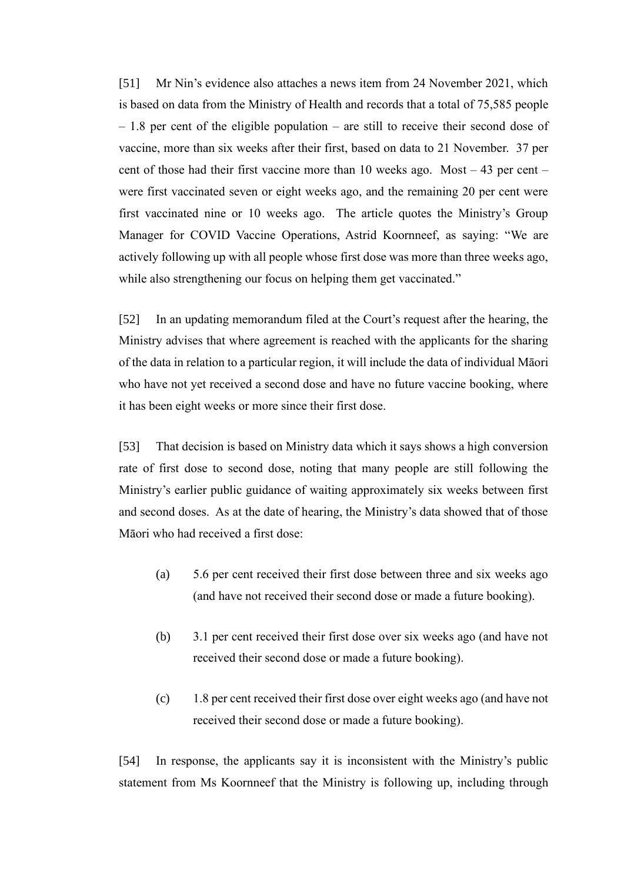[51] Mr Nin's evidence also attaches a news item from 24 November 2021, which is based on data from the Ministry of Health and records that a total of 75,585 people – 1.8 per cent of the eligible population – are still to receive their second dose of vaccine, more than six weeks after their first, based on data to 21 November. 37 per cent of those had their first vaccine more than 10 weeks ago. Most – 43 per cent – were first vaccinated seven or eight weeks ago, and the remaining 20 per cent were first vaccinated nine or 10 weeks ago. The article quotes the Ministry's Group Manager for COVID Vaccine Operations, Astrid Koornneef, as saying: "We are actively following up with all people whose first dose was more than three weeks ago, while also strengthening our focus on helping them get vaccinated."

[52] In an updating memorandum filed at the Court's request after the hearing, the Ministry advises that where agreement is reached with the applicants for the sharing of the data in relation to a particular region, it will include the data of individual Māori who have not yet received a second dose and have no future vaccine booking, where it has been eight weeks or more since their first dose.

[53] That decision is based on Ministry data which it says shows a high conversion rate of first dose to second dose, noting that many people are still following the Ministry's earlier public guidance of waiting approximately six weeks between first and second doses. As at the date of hearing, the Ministry's data showed that of those Māori who had received a first dose:

- (a) 5.6 per cent received their first dose between three and six weeks ago (and have not received their second dose or made a future booking).
- (b) 3.1 per cent received their first dose over six weeks ago (and have not received their second dose or made a future booking).
- (c) 1.8 per cent received their first dose over eight weeks ago (and have not received their second dose or made a future booking).

[54] In response, the applicants say it is inconsistent with the Ministry's public statement from Ms Koornneef that the Ministry is following up, including through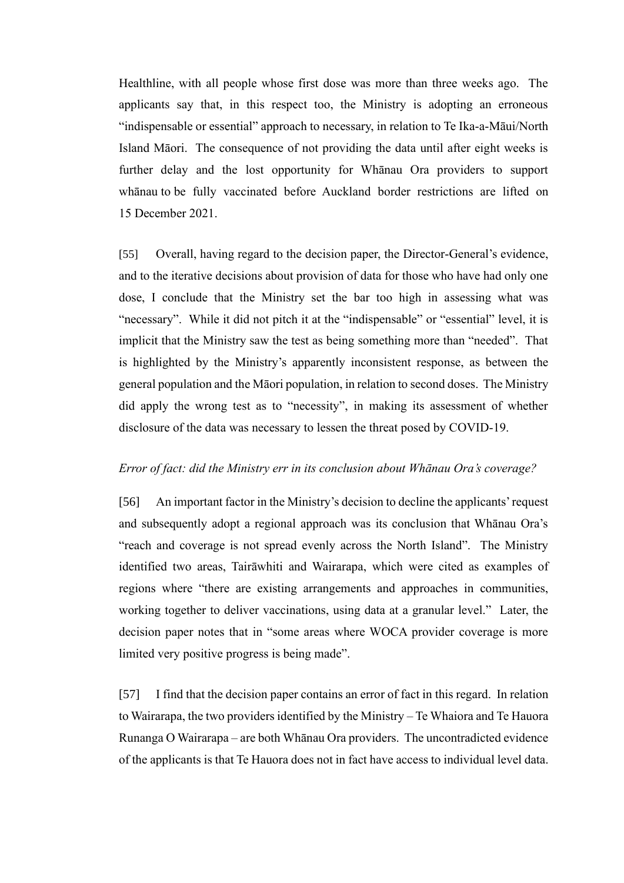Healthline, with all people whose first dose was more than three weeks ago. The applicants say that, in this respect too, the Ministry is adopting an erroneous "indispensable or essential" approach to necessary, in relation to Te Ika-a-Māui/North Island Māori. The consequence of not providing the data until after eight weeks is further delay and the lost opportunity for Whānau Ora providers to support whānau to be fully vaccinated before Auckland border restrictions are lifted on 15 December 2021.

<span id="page-19-1"></span>[55] Overall, having regard to the decision paper, the Director-General's evidence, and to the iterative decisions about provision of data for those who have had only one dose, I conclude that the Ministry set the bar too high in assessing what was "necessary". While it did not pitch it at the "indispensable" or "essential" level, it is implicit that the Ministry saw the test as being something more than "needed". That is highlighted by the Ministry's apparently inconsistent response, as between the general population and the Māori population, in relation to second doses. The Ministry did apply the wrong test as to "necessity", in making its assessment of whether disclosure of the data was necessary to lessen the threat posed by COVID-19.

#### <span id="page-19-0"></span>*Error of fact: did the Ministry err in its conclusion about Whānau Ora's coverage?*

[56] An important factor in the Ministry's decision to decline the applicants' request and subsequently adopt a regional approach was its conclusion that Whānau Ora's "reach and coverage is not spread evenly across the North Island". The Ministry identified two areas, Tairāwhiti and Wairarapa, which were cited as examples of regions where "there are existing arrangements and approaches in communities, working together to deliver vaccinations, using data at a granular level." Later, the decision paper notes that in "some areas where WOCA provider coverage is more limited very positive progress is being made".

[57] I find that the decision paper contains an error of fact in this regard. In relation to Wairarapa, the two providers identified by the Ministry – Te Whaiora and Te Hauora Runanga O Wairarapa – are both Whānau Ora providers. The uncontradicted evidence of the applicants is that Te Hauora does not in fact have access to individual level data.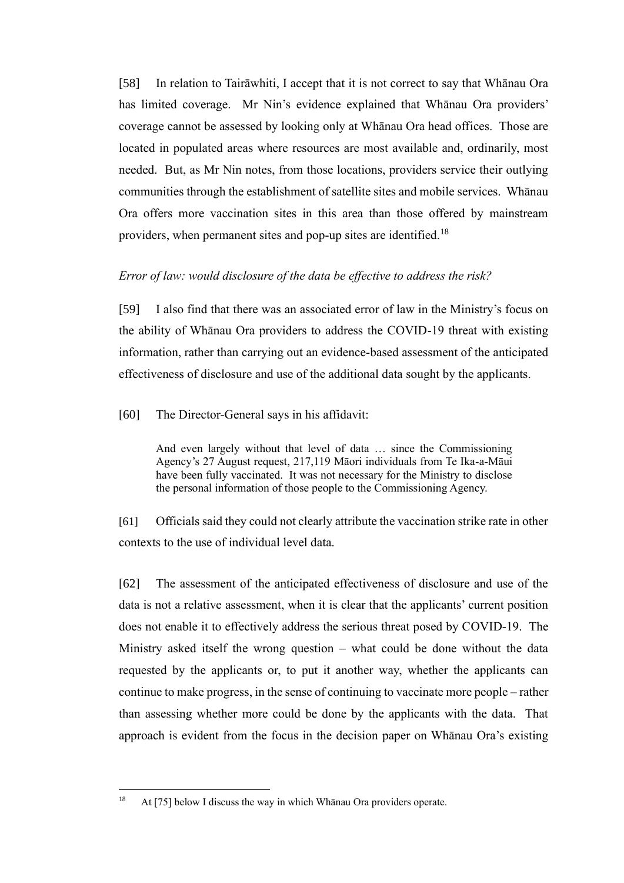[58] In relation to Tairāwhiti, I accept that it is not correct to say that Whānau Ora has limited coverage. Mr Nin's evidence explained that Whānau Ora providers' coverage cannot be assessed by looking only at Whānau Ora head offices. Those are located in populated areas where resources are most available and, ordinarily, most needed. But, as Mr Nin notes, from those locations, providers service their outlying communities through the establishment of satellite sites and mobile services. Whānau Ora offers more vaccination sites in this area than those offered by mainstream providers, when permanent sites and pop-up sites are identified.<sup>18</sup>

## <span id="page-20-0"></span>*Error of law: would disclosure of the data be effective to address the risk?*

[59] I also find that there was an associated error of law in the Ministry's focus on the ability of Whānau Ora providers to address the COVID-19 threat with existing information, rather than carrying out an evidence-based assessment of the anticipated effectiveness of disclosure and use of the additional data sought by the applicants.

[60] The Director-General says in his affidavit:

And even largely without that level of data … since the Commissioning Agency's 27 August request, 217,119 Māori individuals from Te Ika-a-Māui have been fully vaccinated. It was not necessary for the Ministry to disclose the personal information of those people to the Commissioning Agency.

[61] Officials said they could not clearly attribute the vaccination strike rate in other contexts to the use of individual level data.

[62] The assessment of the anticipated effectiveness of disclosure and use of the data is not a relative assessment, when it is clear that the applicants' current position does not enable it to effectively address the serious threat posed by COVID-19. The Ministry asked itself the wrong question – what could be done without the data requested by the applicants or, to put it another way, whether the applicants can continue to make progress, in the sense of continuing to vaccinate more people – rather than assessing whether more could be done by the applicants with the data. That approach is evident from the focus in the decision paper on Whānau Ora's existing

<sup>&</sup>lt;sup>18</sup> At [\[75\]](#page-24-2) below I discuss the way in which Whānau Ora providers operate.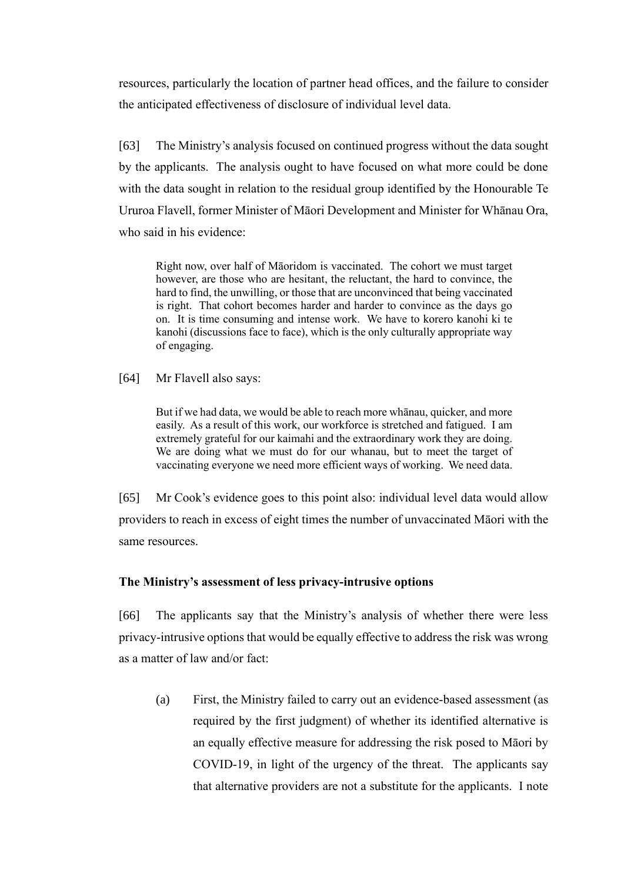resources, particularly the location of partner head offices, and the failure to consider the anticipated effectiveness of disclosure of individual level data.

[63] The Ministry's analysis focused on continued progress without the data sought by the applicants. The analysis ought to have focused on what more could be done with the data sought in relation to the residual group identified by the Honourable Te Ururoa Flavell, former Minister of Māori Development and Minister for Whānau Ora, who said in his evidence:

Right now, over half of Māoridom is vaccinated. The cohort we must target however, are those who are hesitant, the reluctant, the hard to convince, the hard to find, the unwilling, or those that are unconvinced that being vaccinated is right. That cohort becomes harder and harder to convince as the days go on. It is time consuming and intense work. We have to korero kanohi ki te kanohi (discussions face to face), which is the only culturally appropriate way of engaging.

[64] Mr Flavell also says:

But if we had data, we would be able to reach more whānau, quicker, and more easily. As a result of this work, our workforce is stretched and fatigued. I am extremely grateful for our kaimahi and the extraordinary work they are doing. We are doing what we must do for our whanau, but to meet the target of vaccinating everyone we need more efficient ways of working. We need data.

[65] Mr Cook's evidence goes to this point also: individual level data would allow providers to reach in excess of eight times the number of unvaccinated Māori with the same resources.

# <span id="page-21-0"></span>**The Ministry's assessment of less privacy-intrusive options**

[66] The applicants say that the Ministry's analysis of whether there were less privacy-intrusive options that would be equally effective to address the risk was wrong as a matter of law and/or fact:

(a) First, the Ministry failed to carry out an evidence-based assessment (as required by the first judgment) of whether its identified alternative is an equally effective measure for addressing the risk posed to Māori by COVID-19, in light of the urgency of the threat. The applicants say that alternative providers are not a substitute for the applicants. I note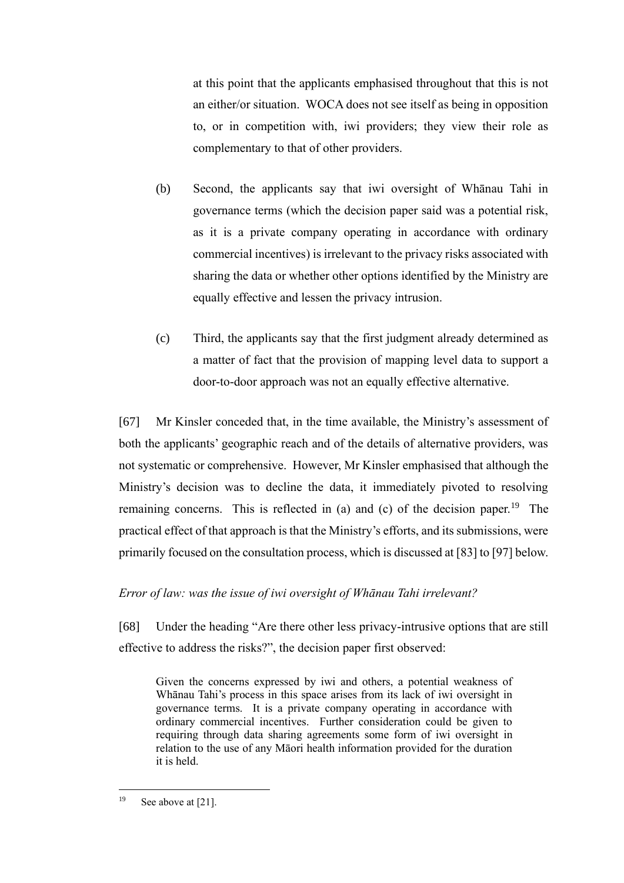at this point that the applicants emphasised throughout that this is not an either/or situation. WOCA does not see itself as being in opposition to, or in competition with, iwi providers; they view their role as complementary to that of other providers.

- (b) Second, the applicants say that iwi oversight of Whānau Tahi in governance terms (which the decision paper said was a potential risk, as it is a private company operating in accordance with ordinary commercial incentives) is irrelevant to the privacy risks associated with sharing the data or whether other options identified by the Ministry are equally effective and lessen the privacy intrusion.
- (c) Third, the applicants say that the first judgment already determined as a matter of fact that the provision of mapping level data to support a door-to-door approach was not an equally effective alternative.

[67] Mr Kinsler conceded that, in the time available, the Ministry's assessment of both the applicants' geographic reach and of the details of alternative providers, was not systematic or comprehensive. However, Mr Kinsler emphasised that although the Ministry's decision was to decline the data, it immediately pivoted to resolving remaining concerns. This is reflected in (a) and (c) of the decision paper.<sup>19</sup> The practical effect of that approach is that the Ministry's efforts, and its submissions, were primarily focused on the consultation process, which is discussed a[t \[83\]](#page-27-1) t[o \[97\]](#page-31-1) below.

# <span id="page-22-0"></span>*Error of law: was the issue of iwi oversight of Whānau Tahi irrelevant?*

[68] Under the heading "Are there other less privacy-intrusive options that are still effective to address the risks?", the decision paper first observed:

Given the concerns expressed by iwi and others, a potential weakness of Whānau Tahi's process in this space arises from its lack of iwi oversight in governance terms. It is a private company operating in accordance with ordinary commercial incentives. Further consideration could be given to requiring through data sharing agreements some form of iwi oversight in relation to the use of any Māori health information provided for the duration it is held.

<sup>19</sup> See above at [21].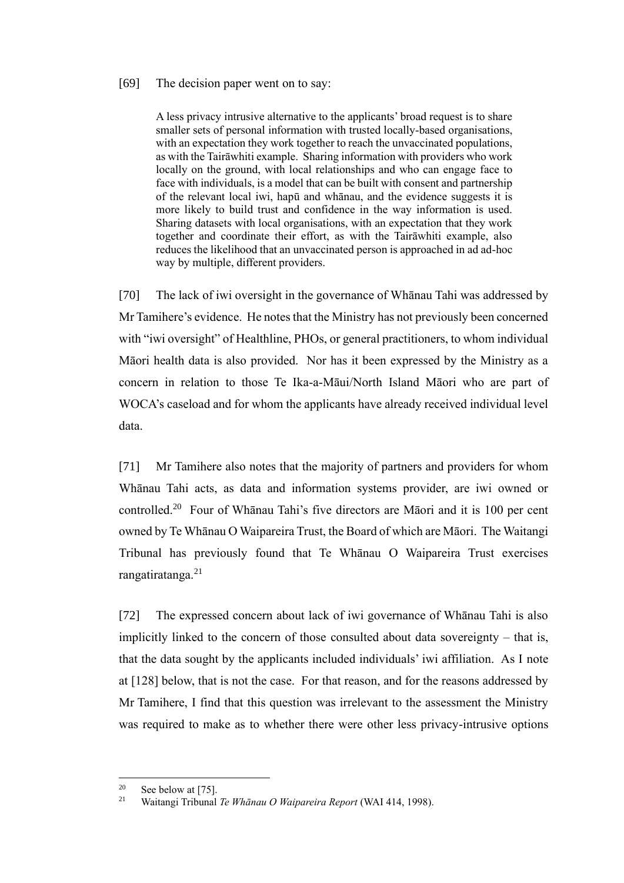#### [69] The decision paper went on to say:

A less privacy intrusive alternative to the applicants' broad request is to share smaller sets of personal information with trusted locally-based organisations, with an expectation they work together to reach the unvaccinated populations, as with the Tairāwhiti example. Sharing information with providers who work locally on the ground, with local relationships and who can engage face to face with individuals, is a model that can be built with consent and partnership of the relevant local iwi, hapū and whānau, and the evidence suggests it is more likely to build trust and confidence in the way information is used. Sharing datasets with local organisations, with an expectation that they work together and coordinate their effort, as with the Tairāwhiti example, also reduces the likelihood that an unvaccinated person is approached in ad ad-hoc way by multiple, different providers.

[70] The lack of iwi oversight in the governance of Whānau Tahi was addressed by Mr Tamihere's evidence. He notes that the Ministry has not previously been concerned with "iwi oversight" of Healthline, PHOs, or general practitioners, to whom individual Māori health data is also provided. Nor has it been expressed by the Ministry as a concern in relation to those Te Ika-a-Māui/North Island Māori who are part of WOCA's caseload and for whom the applicants have already received individual level data.

[71] Mr Tamihere also notes that the majority of partners and providers for whom Whānau Tahi acts, as data and information systems provider, are iwi owned or controlled.<sup>20</sup> Four of Whānau Tahi's five directors are Māori and it is 100 per cent owned by Te Whānau O Waipareira Trust, the Board of which are Māori. The Waitangi Tribunal has previously found that Te Whānau O Waipareira Trust exercises rangatiratanga.<sup>21</sup>

[72] The expressed concern about lack of iwi governance of Whānau Tahi is also implicitly linked to the concern of those consulted about data sovereignty – that is, that the data sought by the applicants included individuals' iwi affiliation. As I note at [\[128\]](#page-39-1) below, that is not the case. For that reason, and for the reasons addressed by Mr Tamihere, I find that this question was irrelevant to the assessment the Ministry was required to make as to whether there were other less privacy-intrusive options

<sup>&</sup>lt;sup>20</sup> See below at [\[75\].](#page-24-2)

<sup>21</sup> Waitangi Tribunal *Te Whānau O Waipareira Report* (WAI 414, 1998).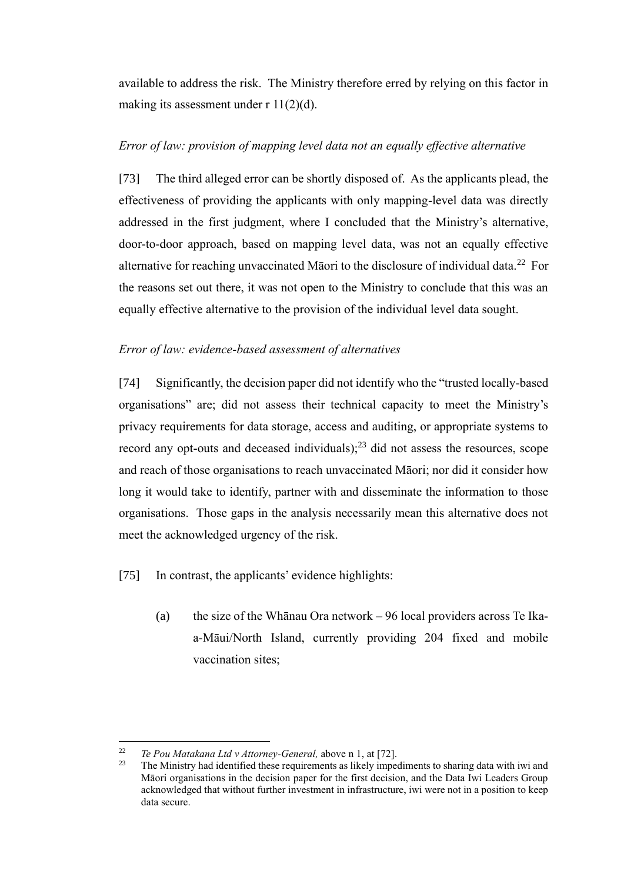available to address the risk. The Ministry therefore erred by relying on this factor in making its assessment under  $r \frac{11(2)}{d}$ .

## <span id="page-24-0"></span>*Error of law: provision of mapping level data not an equally effective alternative*

[73] The third alleged error can be shortly disposed of. As the applicants plead, the effectiveness of providing the applicants with only mapping-level data was directly addressed in the first judgment, where I concluded that the Ministry's alternative, door-to-door approach, based on mapping level data, was not an equally effective alternative for reaching unvaccinated Māori to the disclosure of individual data.<sup>22</sup> For the reasons set out there, it was not open to the Ministry to conclude that this was an equally effective alternative to the provision of the individual level data sought.

#### <span id="page-24-1"></span>*Error of law: evidence-based assessment of alternatives*

[74] Significantly, the decision paper did not identify who the "trusted locally-based organisations" are; did not assess their technical capacity to meet the Ministry's privacy requirements for data storage, access and auditing, or appropriate systems to record any opt-outs and deceased individuals); $^{23}$  did not assess the resources, scope and reach of those organisations to reach unvaccinated Māori; nor did it consider how long it would take to identify, partner with and disseminate the information to those organisations. Those gaps in the analysis necessarily mean this alternative does not meet the acknowledged urgency of the risk.

<span id="page-24-2"></span>[75] In contrast, the applicants' evidence highlights:

(a) the size of the Whānau Ora network – 96 local providers across Te Ikaa-Māui/North Island, currently providing 204 fixed and mobile vaccination sites;

<sup>22</sup> <sup>22</sup> *Te Pou Matakana Ltd v Attorney-General, above n [1,](#page-2-1) at [72].*<br><sup>23</sup> The Ministry had identified these requirements as likely imper-

<sup>23</sup> The Ministry had identified these requirements as likely impediments to sharing data with iwi and Māori organisations in the decision paper for the first decision, and the Data Iwi Leaders Group acknowledged that without further investment in infrastructure, iwi were not in a position to keep data secure.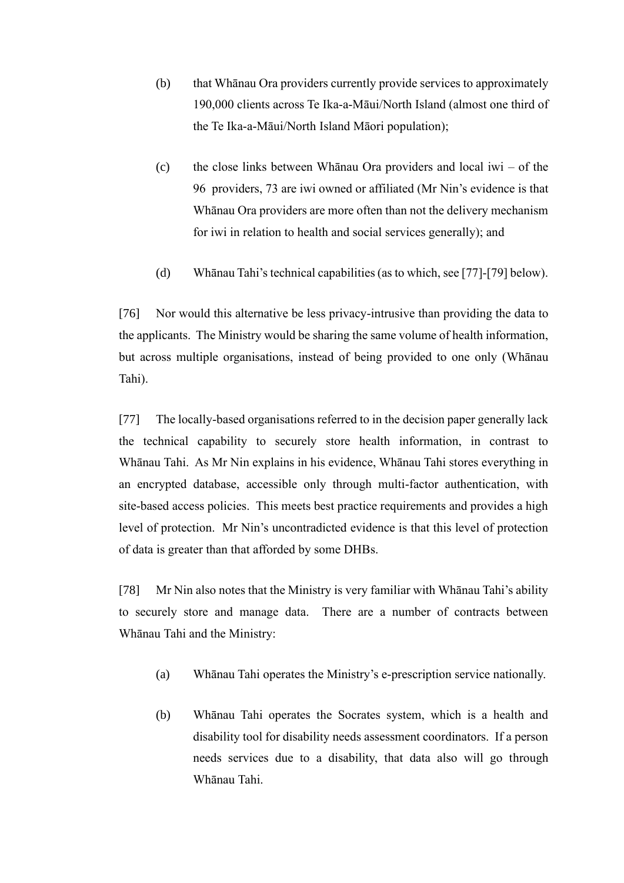- (b) that Whānau Ora providers currently provide services to approximately 190,000 clients across Te Ika-a-Māui/North Island (almost one third of the Te Ika-a-Māui/North Island Māori population);
- (c) the close links between Whānau Ora providers and local iwi of the 96 providers, 73 are iwi owned or affiliated (Mr Nin's evidence is that Whānau Ora providers are more often than not the delivery mechanism for iwi in relation to health and social services generally); and
- (d) Whānau Tahi's technical capabilities (as to which, se[e \[77\]](#page-25-0)[-\[79\]](#page-26-1) below).

[76] Nor would this alternative be less privacy-intrusive than providing the data to the applicants. The Ministry would be sharing the same volume of health information, but across multiple organisations, instead of being provided to one only (Whānau Tahi).

<span id="page-25-0"></span>[77] The locally-based organisations referred to in the decision paper generally lack the technical capability to securely store health information, in contrast to Whānau Tahi. As Mr Nin explains in his evidence, Whānau Tahi stores everything in an encrypted database, accessible only through multi-factor authentication, with site-based access policies. This meets best practice requirements and provides a high level of protection. Mr Nin's uncontradicted evidence is that this level of protection of data is greater than that afforded by some DHBs.

[78] Mr Nin also notes that the Ministry is very familiar with Whānau Tahi's ability to securely store and manage data. There are a number of contracts between Whānau Tahi and the Ministry:

- (a) Whānau Tahi operates the Ministry's e-prescription service nationally.
- (b) Whānau Tahi operates the Socrates system, which is a health and disability tool for disability needs assessment coordinators. If a person needs services due to a disability, that data also will go through Whānau Tahi.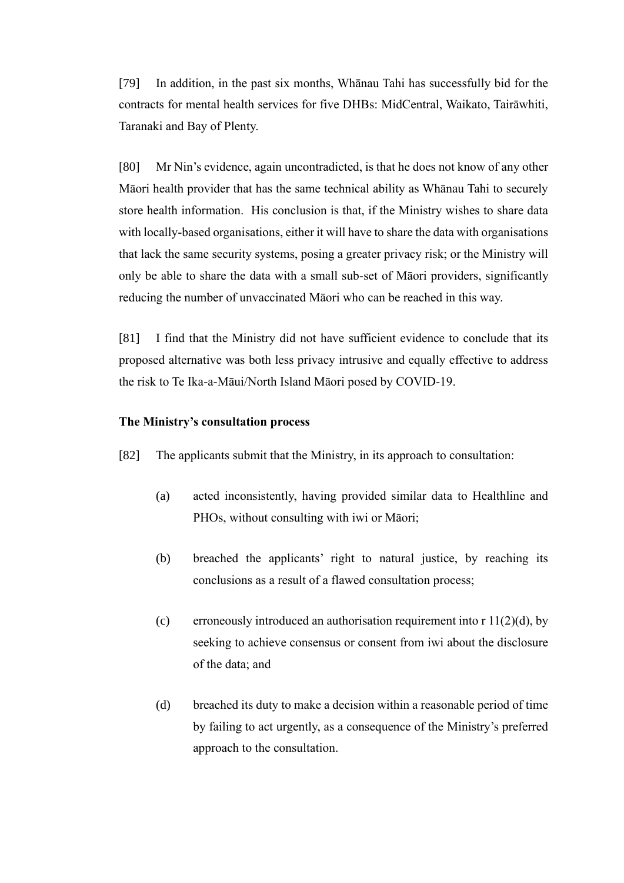<span id="page-26-1"></span>[79] In addition, in the past six months, Whānau Tahi has successfully bid for the contracts for mental health services for five DHBs: MidCentral, Waikato, Tairāwhiti, Taranaki and Bay of Plenty.

[80] Mr Nin's evidence, again uncontradicted, is that he does not know of any other Māori health provider that has the same technical ability as Whānau Tahi to securely store health information. His conclusion is that, if the Ministry wishes to share data with locally-based organisations, either it will have to share the data with organisations that lack the same security systems, posing a greater privacy risk; or the Ministry will only be able to share the data with a small sub-set of Māori providers, significantly reducing the number of unvaccinated Māori who can be reached in this way.

[81] I find that the Ministry did not have sufficient evidence to conclude that its proposed alternative was both less privacy intrusive and equally effective to address the risk to Te Ika-a-Māui/North Island Māori posed by COVID-19.

### <span id="page-26-0"></span>**The Ministry's consultation process**

[82] The applicants submit that the Ministry, in its approach to consultation:

- (a) acted inconsistently, having provided similar data to Healthline and PHOs, without consulting with iwi or Māori;
- (b) breached the applicants' right to natural justice, by reaching its conclusions as a result of a flawed consultation process;
- (c) erroneously introduced an authorisation requirement into  $r \frac{11}{2}(d)$ , by seeking to achieve consensus or consent from iwi about the disclosure of the data; and
- (d) breached its duty to make a decision within a reasonable period of time by failing to act urgently, as a consequence of the Ministry's preferred approach to the consultation.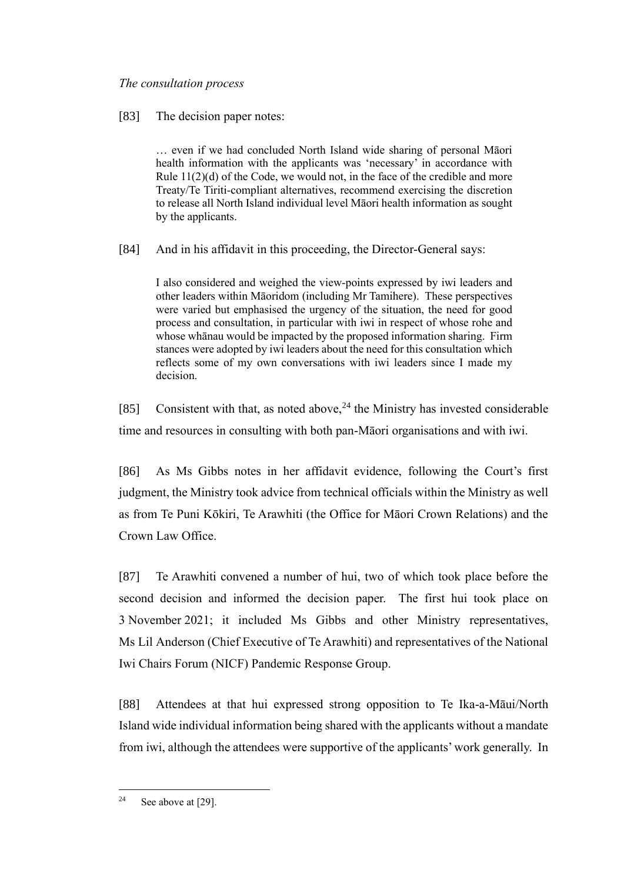## <span id="page-27-0"></span>*The consultation process*

# <span id="page-27-1"></span>[83] The decision paper notes:

… even if we had concluded North Island wide sharing of personal Māori health information with the applicants was 'necessary' in accordance with Rule  $11(2)(d)$  of the Code, we would not, in the face of the credible and more Treaty/Te Tiriti-compliant alternatives, recommend exercising the discretion to release all North Island individual level Māori health information as sought by the applicants.

[84] And in his affidavit in this proceeding, the Director-General says:

I also considered and weighed the view-points expressed by iwi leaders and other leaders within Māoridom (including Mr Tamihere). These perspectives were varied but emphasised the urgency of the situation, the need for good process and consultation, in particular with iwi in respect of whose rohe and whose whānau would be impacted by the proposed information sharing. Firm stances were adopted by iwi leaders about the need for this consultation which reflects some of my own conversations with iwi leaders since I made my decision.

[85] Consistent with that, as noted above,  $24$  the Ministry has invested considerable time and resources in consulting with both pan-Māori organisations and with iwi.

[86] As Ms Gibbs notes in her affidavit evidence, following the Court's first judgment, the Ministry took advice from technical officials within the Ministry as well as from Te Puni Kōkiri, Te Arawhiti (the Office for Māori Crown Relations) and the Crown Law Office.

[87] Te Arawhiti convened a number of hui, two of which took place before the second decision and informed the decision paper. The first hui took place on 3 November 2021; it included Ms Gibbs and other Ministry representatives, Ms Lil Anderson (Chief Executive of Te Arawhiti) and representatives of the National Iwi Chairs Forum (NICF) Pandemic Response Group.

[88] Attendees at that hui expressed strong opposition to Te Ika-a-Māui/North Island wide individual information being shared with the applicants without a mandate from iwi, although the attendees were supportive of the applicants' work generally. In

<sup>&</sup>lt;sup>24</sup> See above a[t \[29\].](#page-11-0)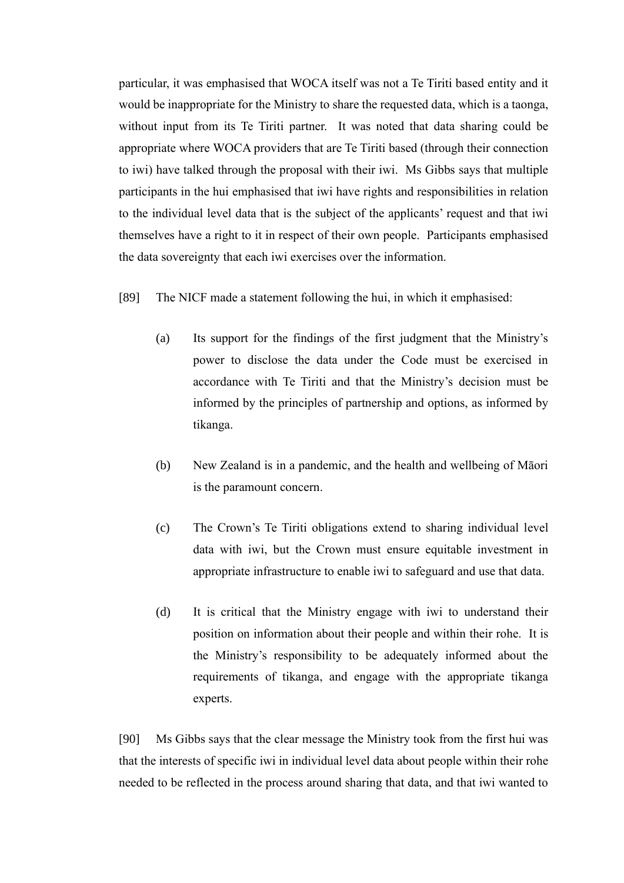particular, it was emphasised that WOCA itself was not a Te Tiriti based entity and it would be inappropriate for the Ministry to share the requested data, which is a taonga, without input from its Te Tiriti partner. It was noted that data sharing could be appropriate where WOCA providers that are Te Tiriti based (through their connection to iwi) have talked through the proposal with their iwi. Ms Gibbs says that multiple participants in the hui emphasised that iwi have rights and responsibilities in relation to the individual level data that is the subject of the applicants' request and that iwi themselves have a right to it in respect of their own people. Participants emphasised the data sovereignty that each iwi exercises over the information.

[89] The NICF made a statement following the hui, in which it emphasised:

- (a) Its support for the findings of the first judgment that the Ministry's power to disclose the data under the Code must be exercised in accordance with Te Tiriti and that the Ministry's decision must be informed by the principles of partnership and options, as informed by tikanga.
- (b) New Zealand is in a pandemic, and the health and wellbeing of Māori is the paramount concern.
- (c) The Crown's Te Tiriti obligations extend to sharing individual level data with iwi, but the Crown must ensure equitable investment in appropriate infrastructure to enable iwi to safeguard and use that data.
- (d) It is critical that the Ministry engage with iwi to understand their position on information about their people and within their rohe. It is the Ministry's responsibility to be adequately informed about the requirements of tikanga, and engage with the appropriate tikanga experts.

[90] Ms Gibbs says that the clear message the Ministry took from the first hui was that the interests of specific iwi in individual level data about people within their rohe needed to be reflected in the process around sharing that data, and that iwi wanted to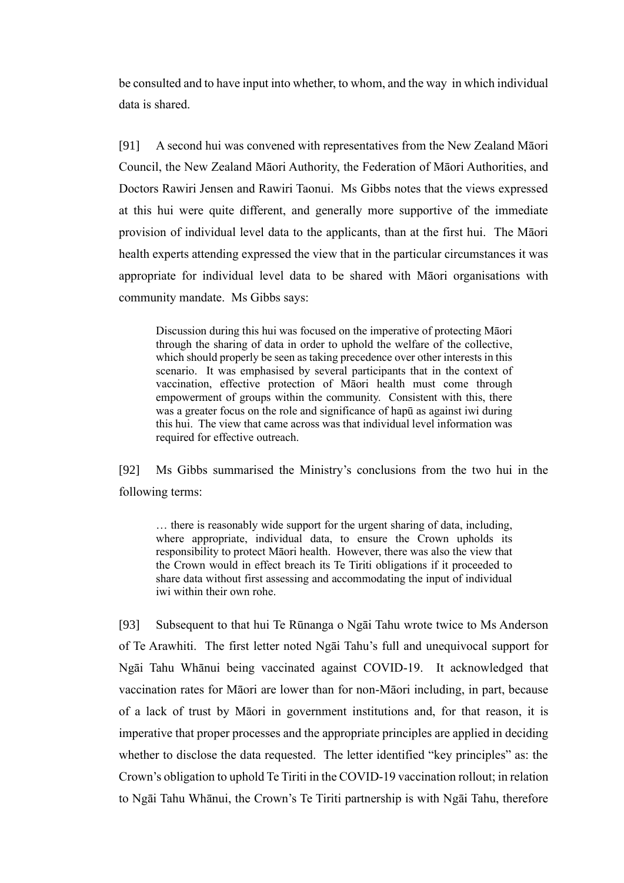be consulted and to have input into whether, to whom, and the way in which individual data is shared.

[91] A second hui was convened with representatives from the New Zealand Māori Council, the New Zealand Māori Authority, the Federation of Māori Authorities, and Doctors Rawiri Jensen and Rawiri Taonui. Ms Gibbs notes that the views expressed at this hui were quite different, and generally more supportive of the immediate provision of individual level data to the applicants, than at the first hui. The Māori health experts attending expressed the view that in the particular circumstances it was appropriate for individual level data to be shared with Māori organisations with community mandate. Ms Gibbs says:

Discussion during this hui was focused on the imperative of protecting Māori through the sharing of data in order to uphold the welfare of the collective, which should properly be seen as taking precedence over other interests in this scenario. It was emphasised by several participants that in the context of vaccination, effective protection of Māori health must come through empowerment of groups within the community. Consistent with this, there was a greater focus on the role and significance of hapū as against iwi during this hui. The view that came across was that individual level information was required for effective outreach.

[92] Ms Gibbs summarised the Ministry's conclusions from the two hui in the following terms:

… there is reasonably wide support for the urgent sharing of data, including, where appropriate, individual data, to ensure the Crown upholds its responsibility to protect Māori health. However, there was also the view that the Crown would in effect breach its Te Tiriti obligations if it proceeded to share data without first assessing and accommodating the input of individual iwi within their own rohe.

[93] Subsequent to that hui Te Rūnanga o Ngāi Tahu wrote twice to Ms Anderson of Te Arawhiti. The first letter noted Ngāi Tahu's full and unequivocal support for Ngāi Tahu Whānui being vaccinated against COVID-19. It acknowledged that vaccination rates for Māori are lower than for non-Māori including, in part, because of a lack of trust by Māori in government institutions and, for that reason, it is imperative that proper processes and the appropriate principles are applied in deciding whether to disclose the data requested. The letter identified "key principles" as: the Crown's obligation to uphold Te Tiriti in the COVID-19 vaccination rollout; in relation to Ngāi Tahu Whānui, the Crown's Te Tiriti partnership is with Ngāi Tahu, therefore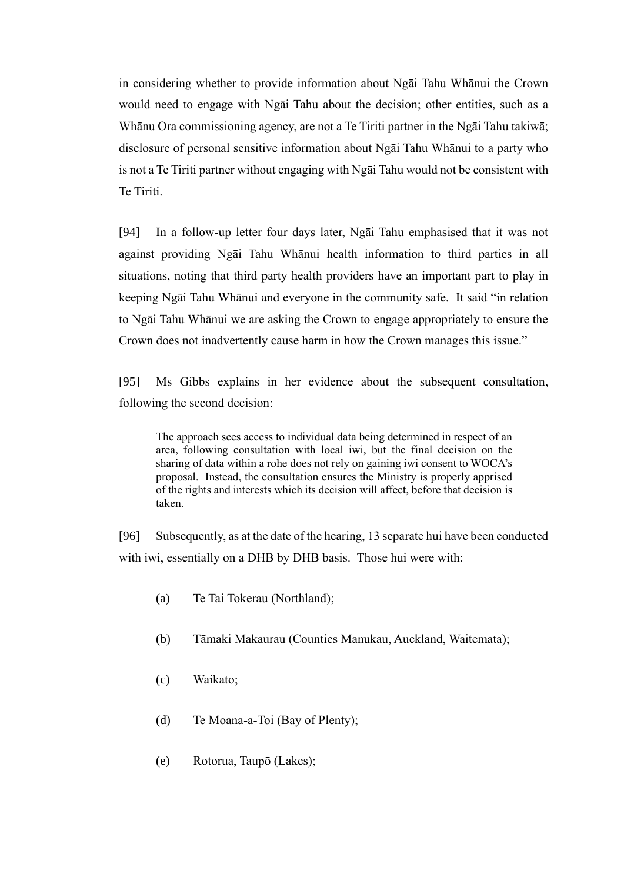in considering whether to provide information about Ngāi Tahu Whānui the Crown would need to engage with Ngāi Tahu about the decision; other entities, such as a Whānu Ora commissioning agency, are not a Te Tiriti partner in the Ngāi Tahu takiwā; disclosure of personal sensitive information about Ngāi Tahu Whānui to a party who is not a Te Tiriti partner without engaging with Ngāi Tahu would not be consistent with Te Tiriti.

[94] In a follow-up letter four days later, Ngāi Tahu emphasised that it was not against providing Ngāi Tahu Whānui health information to third parties in all situations, noting that third party health providers have an important part to play in keeping Ngāi Tahu Whānui and everyone in the community safe. It said "in relation to Ngāi Tahu Whānui we are asking the Crown to engage appropriately to ensure the Crown does not inadvertently cause harm in how the Crown manages this issue."

[95] Ms Gibbs explains in her evidence about the subsequent consultation, following the second decision:

The approach sees access to individual data being determined in respect of an area, following consultation with local iwi, but the final decision on the sharing of data within a rohe does not rely on gaining iwi consent to WOCA's proposal. Instead, the consultation ensures the Ministry is properly apprised of the rights and interests which its decision will affect, before that decision is taken.

[96] Subsequently, as at the date of the hearing, 13 separate hui have been conducted with iwi, essentially on a DHB by DHB basis. Those hui were with:

- (a) Te Tai Tokerau (Northland);
- (b) Tāmaki Makaurau (Counties Manukau, Auckland, Waitemata);
- (c) Waikato;
- (d) Te Moana-a-Toi (Bay of Plenty);
- (e) Rotorua, Taupō (Lakes);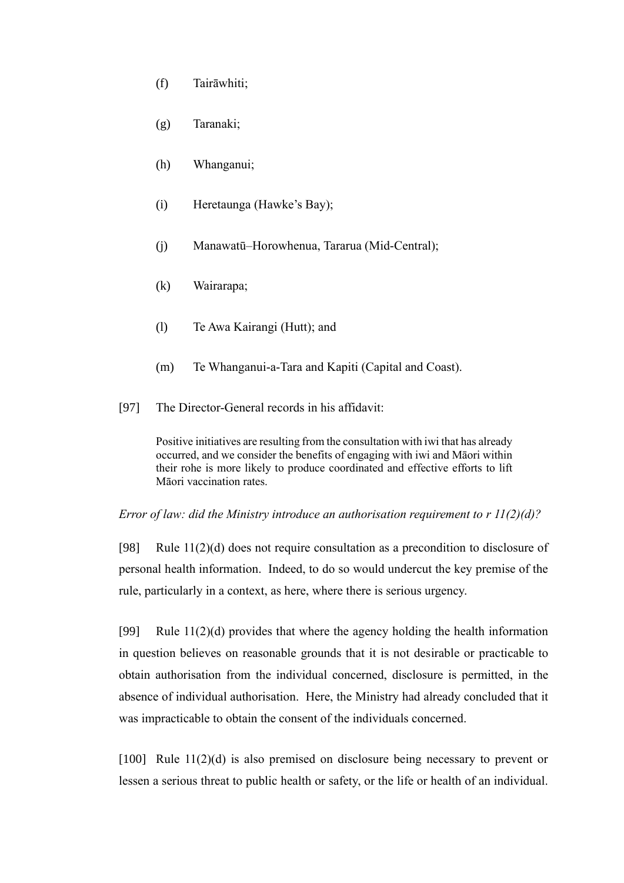- (f) Tairāwhiti;
- (g) Taranaki;
- (h) Whanganui;
- (i) Heretaunga (Hawke's Bay);
- (j) Manawatū–Horowhenua, Tararua (Mid-Central);
- (k) Wairarapa;
- (l) Te Awa Kairangi (Hutt); and
- (m) Te Whanganui-a-Tara and Kapiti (Capital and Coast).
- <span id="page-31-1"></span>[97] The Director-General records in his affidavit:

Positive initiatives are resulting from the consultation with iwi that has already occurred, and we consider the benefits of engaging with iwi and Māori within their rohe is more likely to produce coordinated and effective efforts to lift Māori vaccination rates.

<span id="page-31-0"></span>*Error of law: did the Ministry introduce an authorisation requirement to r 11(2)(d)?*

[98] Rule 11(2)(d) does not require consultation as a precondition to disclosure of personal health information. Indeed, to do so would undercut the key premise of the rule, particularly in a context, as here, where there is serious urgency.

[99] Rule  $11(2)(d)$  provides that where the agency holding the health information in question believes on reasonable grounds that it is not desirable or practicable to obtain authorisation from the individual concerned, disclosure is permitted, in the absence of individual authorisation. Here, the Ministry had already concluded that it was impracticable to obtain the consent of the individuals concerned.

[100] Rule 11(2)(d) is also premised on disclosure being necessary to prevent or lessen a serious threat to public health or safety, or the life or health of an individual.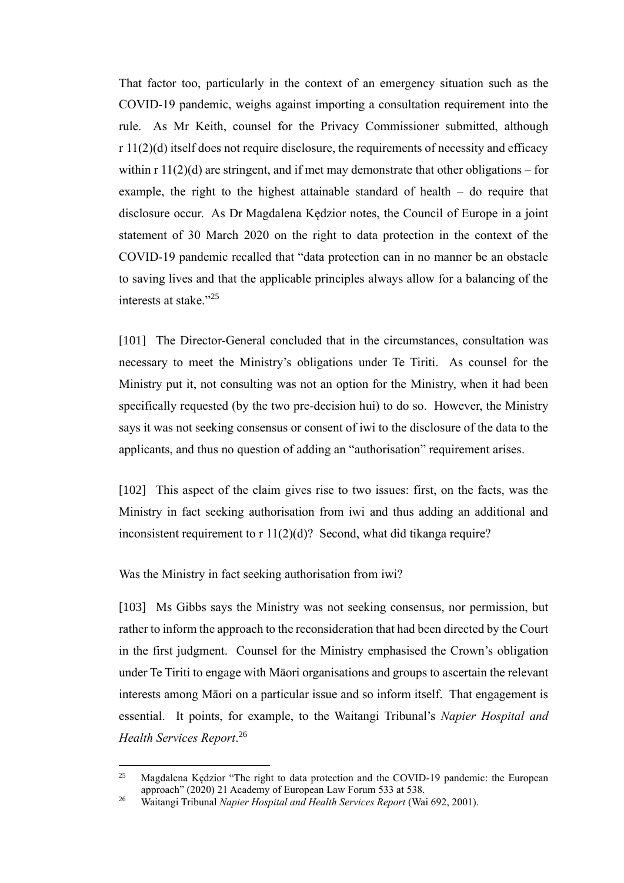That factor too, particularly in the context of an emergency situation such as the COVID-19 pandemic, weighs against importing a consultation requirement into the rule. As Mr Keith, counsel for the Privacy Commissioner submitted, although  $r 11(2)(d)$  itself does not require disclosure, the requirements of necessity and efficacy within  $r \frac{11(2)}{d}$  are stringent, and if met may demonstrate that other obligations – for example, the right to the highest attainable standard of health – do require that disclosure occur. As Dr Magdalena Kędzior notes, the Council of Europe in a joint statement of 30 March 2020 on the right to data protection in the context of the COVID-19 pandemic recalled that "data protection can in no manner be an obstacle to saving lives and that the applicable principles always allow for a balancing of the interests at stake."<sup>25</sup>

[101] The Director-General concluded that in the circumstances, consultation was necessary to meet the Ministry's obligations under Te Tiriti. As counsel for the Ministry put it, not consulting was not an option for the Ministry, when it had been specifically requested (by the two pre-decision hui) to do so. However, the Ministry says it was not seeking consensus or consent of iwi to the disclosure of the data to the applicants, and thus no question of adding an "authorisation" requirement arises.

[102] This aspect of the claim gives rise to two issues: first, on the facts, was the Ministry in fact seeking authorisation from iwi and thus adding an additional and inconsistent requirement to  $r 11(2)(d)$ ? Second, what did tikanga require?

<span id="page-32-0"></span>Was the Ministry in fact seeking authorisation from iwi?

[103] Ms Gibbs says the Ministry was not seeking consensus, nor permission, but rather to inform the approach to the reconsideration that had been directed by the Court in the first judgment. Counsel for the Ministry emphasised the Crown's obligation under Te Tiriti to engage with Māori organisations and groups to ascertain the relevant interests among Māori on a particular issue and so inform itself. That engagement is essential. It points, for example, to the Waitangi Tribunal's *Napier Hospital and Health Services Report*. 26

<span id="page-32-1"></span><sup>25</sup> Magdalena Kędzior "The right to data protection and the COVID-19 pandemic: the European approach" (2020) 21 Academy of European Law Forum 533 at 538.

<sup>26</sup> Waitangi Tribunal *Napier Hospital and Health Services Report* (Wai 692, 2001).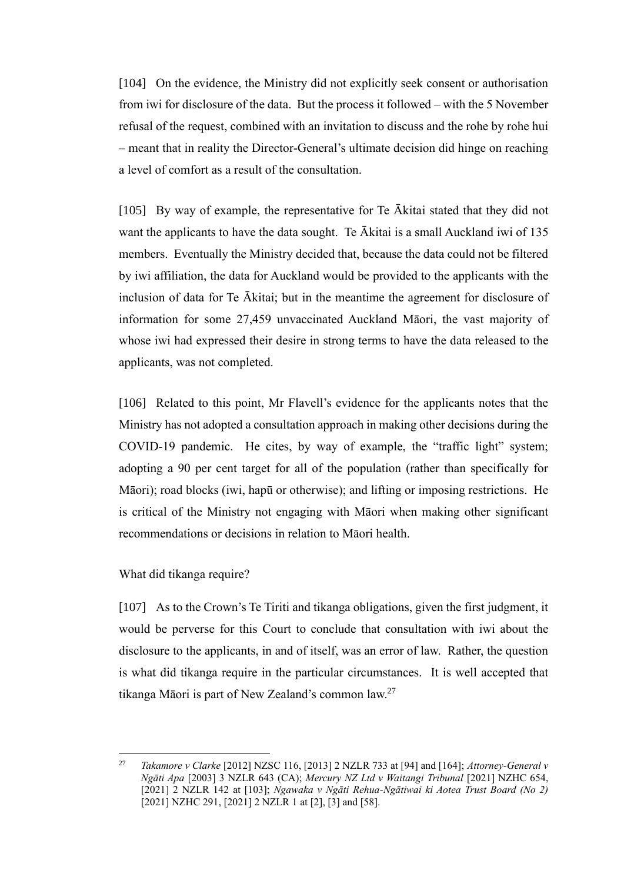[104] On the evidence, the Ministry did not explicitly seek consent or authorisation from iwi for disclosure of the data. But the process it followed – with the 5 November refusal of the request, combined with an invitation to discuss and the rohe by rohe hui – meant that in reality the Director-General's ultimate decision did hinge on reaching a level of comfort as a result of the consultation.

[105] By way of example, the representative for Te Ākitai stated that they did not want the applicants to have the data sought. Te Ākitai is a small Auckland iwi of 135 members. Eventually the Ministry decided that, because the data could not be filtered by iwi affiliation, the data for Auckland would be provided to the applicants with the inclusion of data for Te Ākitai; but in the meantime the agreement for disclosure of information for some 27,459 unvaccinated Auckland Māori, the vast majority of whose iwi had expressed their desire in strong terms to have the data released to the applicants, was not completed.

[106] Related to this point, Mr Flavell's evidence for the applicants notes that the Ministry has not adopted a consultation approach in making other decisions during the COVID-19 pandemic. He cites, by way of example, the "traffic light" system; adopting a 90 per cent target for all of the population (rather than specifically for Māori); road blocks (iwi, hapū or otherwise); and lifting or imposing restrictions. He is critical of the Ministry not engaging with Māori when making other significant recommendations or decisions in relation to Māori health.

<span id="page-33-0"></span>What did tikanga require?

[107] As to the Crown's Te Tiriti and tikanga obligations, given the first judgment, it would be perverse for this Court to conclude that consultation with iwi about the disclosure to the applicants, in and of itself, was an error of law. Rather, the question is what did tikanga require in the particular circumstances. It is well accepted that tikanga Māori is part of New Zealand's common law.<sup>27</sup>

<span id="page-33-1"></span><sup>27</sup> *Takamore v Clarke* [2012] NZSC 116, [2013] 2 NZLR 733 at [94] and [164]; *Attorney-General v Ngāti Apa* [2003] 3 NZLR 643 (CA); *Mercury NZ Ltd v Waitangi Tribunal* [2021] NZHC 654, [2021] 2 NZLR 142 at [103]; *Ngawaka v Ngāti Rehua-Ngātiwai ki Aotea Trust Board (No 2)* [2021] NZHC 291, [2021] 2 NZLR 1 at [2], [3] and [58].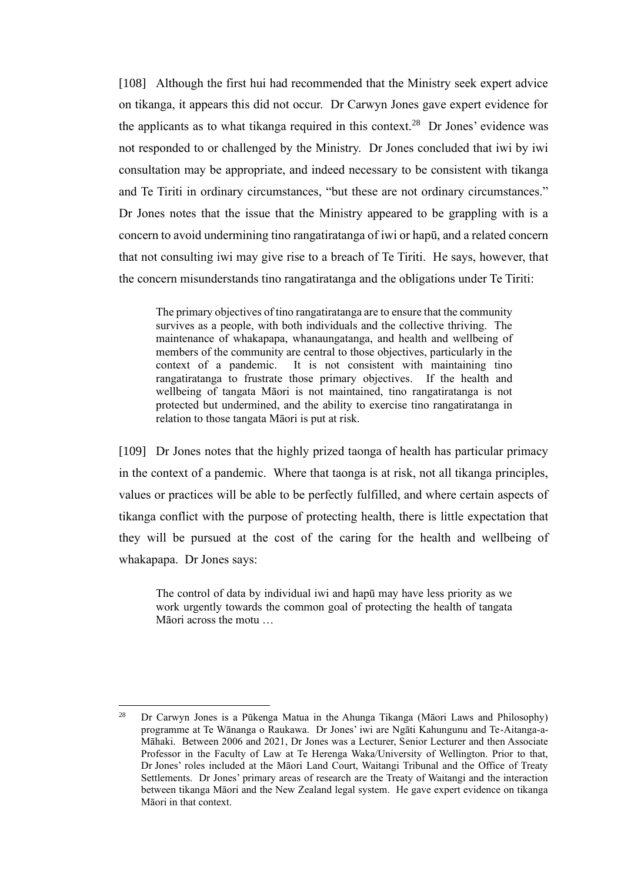[108] Although the first hui had recommended that the Ministry seek expert advice on tikanga, it appears this did not occur. Dr Carwyn Jones gave expert evidence for the applicants as to what tikanga required in this context.<sup>28</sup> Dr Jones' evidence was not responded to or challenged by the Ministry. Dr Jones concluded that iwi by iwi consultation may be appropriate, and indeed necessary to be consistent with tikanga and Te Tiriti in ordinary circumstances, "but these are not ordinary circumstances." Dr Jones notes that the issue that the Ministry appeared to be grappling with is a concern to avoid undermining tino rangatiratanga of iwi or hapū, and a related concern that not consulting iwi may give rise to a breach of Te Tiriti. He says, however, that the concern misunderstands tino rangatiratanga and the obligations under Te Tiriti:

The primary objectives of tino rangatiratanga are to ensure that the community survives as a people, with both individuals and the collective thriving. The maintenance of whakapapa, whanaungatanga, and health and wellbeing of members of the community are central to those objectives, particularly in the context of a pandemic. It is not consistent with maintaining tino rangatiratanga to frustrate those primary objectives. If the health and wellbeing of tangata Māori is not maintained, tino rangatiratanga is not protected but undermined, and the ability to exercise tino rangatiratanga in relation to those tangata Māori is put at risk.

[109] Dr Jones notes that the highly prized taonga of health has particular primacy in the context of a pandemic. Where that taonga is at risk, not all tikanga principles, values or practices will be able to be perfectly fulfilled, and where certain aspects of tikanga conflict with the purpose of protecting health, there is little expectation that they will be pursued at the cost of the caring for the health and wellbeing of whakapapa. Dr Jones says:

The control of data by individual iwi and hapū may have less priority as we work urgently towards the common goal of protecting the health of tangata Māori across the motu …

<sup>28</sup> Dr Carwyn Jones is a Pūkenga Matua in the Ahunga Tikanga (Māori Laws and Philosophy) programme at Te Wānanga o Raukawa. Dr Jones' iwi are Ngāti Kahungunu and Te-Aitanga-a-Māhaki. Between 2006 and 2021, Dr Jones was a Lecturer, Senior Lecturer and then Associate Professor in the Faculty of Law at Te Herenga Waka/University of Wellington. Prior to that, Dr Jones' roles included at the Māori Land Court, Waitangi Tribunal and the Office of Treaty Settlements. Dr Jones' primary areas of research are the Treaty of Waitangi and the interaction between tikanga Māori and the New Zealand legal system. He gave expert evidence on tikanga Māori in that context.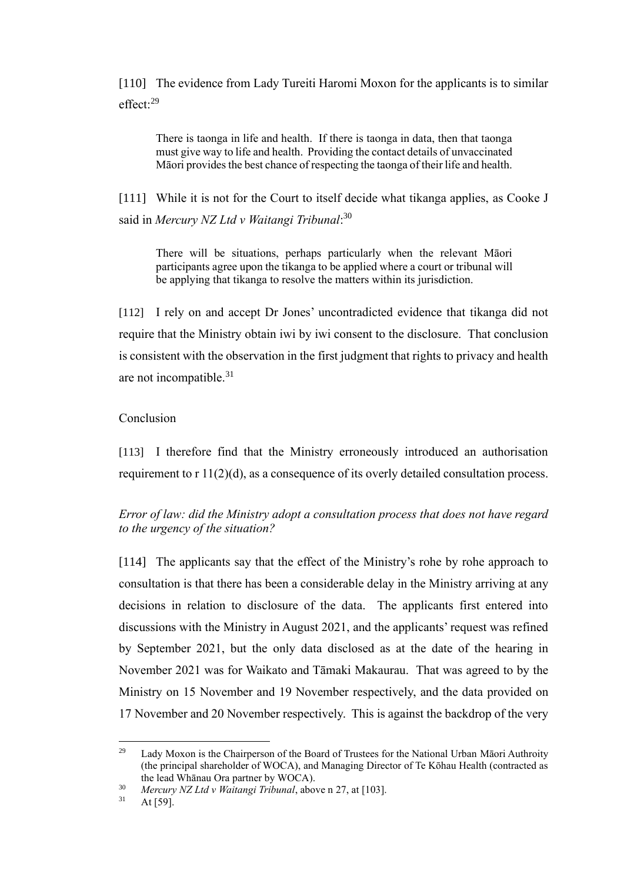[110] The evidence from Lady Tureiti Haromi Moxon for the applicants is to similar effect:<sup>29</sup>

There is taonga in life and health. If there is taonga in data, then that taonga must give way to life and health. Providing the contact details of unvaccinated Māori provides the best chance of respecting the taonga of their life and health.

[111] While it is not for the Court to itself decide what tikanga applies, as Cooke J said in *Mercury NZ Ltd v Waitangi Tribunal*: 30

There will be situations, perhaps particularly when the relevant Māori participants agree upon the tikanga to be applied where a court or tribunal will be applying that tikanga to resolve the matters within its jurisdiction.

[112] I rely on and accept Dr Jones' uncontradicted evidence that tikanga did not require that the Ministry obtain iwi by iwi consent to the disclosure. That conclusion is consistent with the observation in the first judgment that rights to privacy and health are not incompatible.<sup>31</sup>

#### <span id="page-35-0"></span>Conclusion

[113] I therefore find that the Ministry erroneously introduced an authorisation requirement to  $r \frac{11}{2}(d)$ , as a consequence of its overly detailed consultation process.

<span id="page-35-1"></span>*Error of law: did the Ministry adopt a consultation process that does not have regard to the urgency of the situation?*

[114] The applicants say that the effect of the Ministry's rohe by rohe approach to consultation is that there has been a considerable delay in the Ministry arriving at any decisions in relation to disclosure of the data. The applicants first entered into discussions with the Ministry in August 2021, and the applicants' request was refined by September 2021, but the only data disclosed as at the date of the hearing in November 2021 was for Waikato and Tāmaki Makaurau. That was agreed to by the Ministry on 15 November and 19 November respectively, and the data provided on 17 November and 20 November respectively. This is against the backdrop of the very

<sup>&</sup>lt;sup>29</sup> Lady Moxon is the Chairperson of the Board of Trustees for the National Urban Māori Authroity (the principal shareholder of WOCA), and Managing Director of Te Kōhau Health (contracted as the lead Whānau Ora partner by WOCA).

<sup>30</sup> *Mercury NZ Ltd v Waitangi Tribunal*, above n [27,](#page-33-1) at [103].

<sup>31</sup> At [59].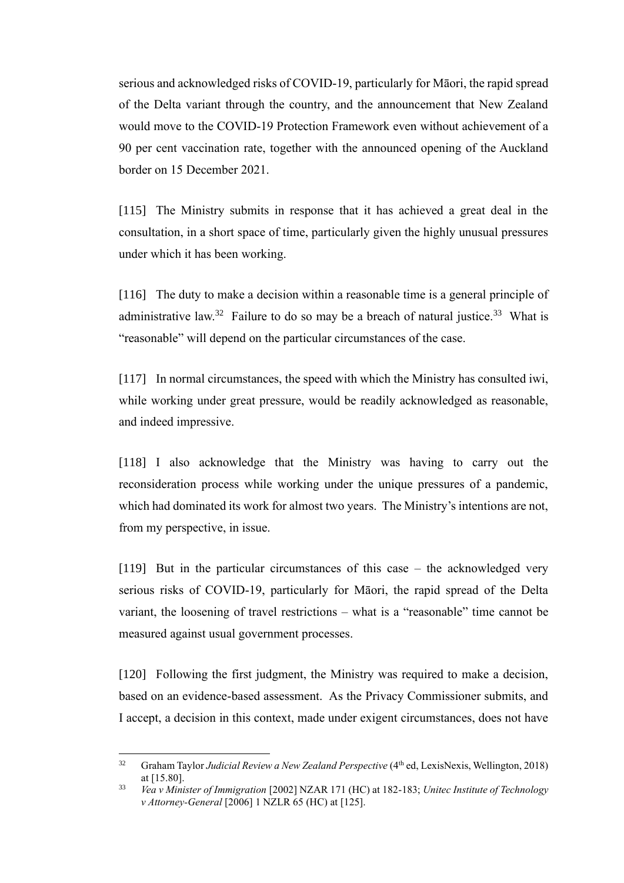serious and acknowledged risks of COVID-19, particularly for Māori, the rapid spread of the Delta variant through the country, and the announcement that New Zealand would move to the COVID-19 Protection Framework even without achievement of a 90 per cent vaccination rate, together with the announced opening of the Auckland border on 15 December 2021.

[115] The Ministry submits in response that it has achieved a great deal in the consultation, in a short space of time, particularly given the highly unusual pressures under which it has been working.

<span id="page-36-0"></span>[116] The duty to make a decision within a reasonable time is a general principle of administrative law.<sup>32</sup> Failure to do so may be a breach of natural justice.<sup>33</sup> What is "reasonable" will depend on the particular circumstances of the case.

[117] In normal circumstances, the speed with which the Ministry has consulted iwi, while working under great pressure, would be readily acknowledged as reasonable, and indeed impressive.

[118] I also acknowledge that the Ministry was having to carry out the reconsideration process while working under the unique pressures of a pandemic, which had dominated its work for almost two years. The Ministry's intentions are not, from my perspective, in issue.

[119] But in the particular circumstances of this case – the acknowledged very serious risks of COVID-19, particularly for Māori, the rapid spread of the Delta variant, the loosening of travel restrictions – what is a "reasonable" time cannot be measured against usual government processes.

[120] Following the first judgment, the Ministry was required to make a decision, based on an evidence-based assessment. As the Privacy Commissioner submits, and I accept, a decision in this context, made under exigent circumstances, does not have

<sup>&</sup>lt;sup>32</sup> Graham Taylor *Judicial Review a New Zealand Perspective* (4<sup>th</sup> ed, LexisNexis, Wellington, 2018) at [15.80].

<sup>33</sup> *Vea v Minister of Immigration* [2002] NZAR 171 (HC) at 182-183; *Unitec Institute of Technology v Attorney-General* [2006] 1 NZLR 65 (HC) at [125].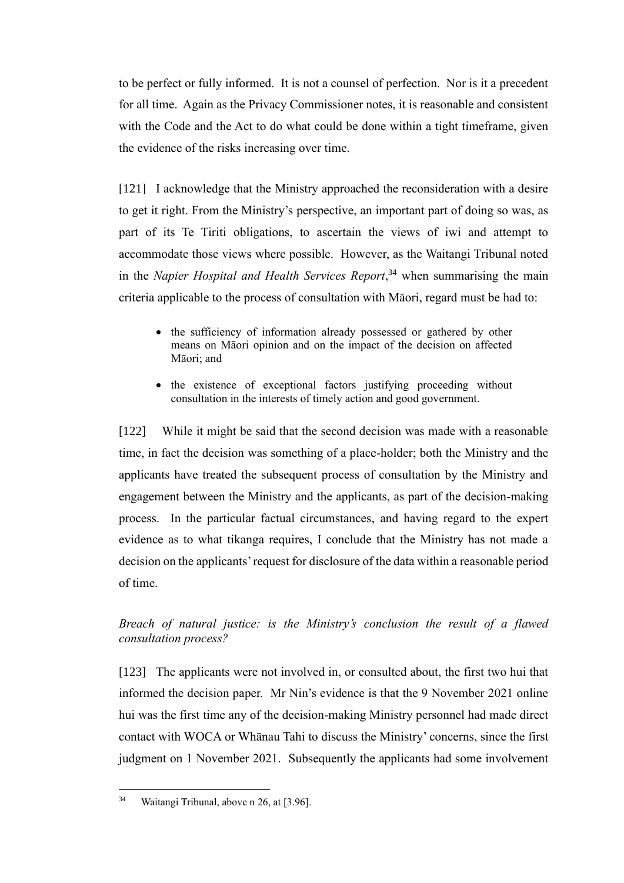to be perfect or fully informed. It is not a counsel of perfection. Nor is it a precedent for all time. Again as the Privacy Commissioner notes, it is reasonable and consistent with the Code and the Act to do what could be done within a tight timeframe, given the evidence of the risks increasing over time.

[121] I acknowledge that the Ministry approached the reconsideration with a desire to get it right. From the Ministry's perspective, an important part of doing so was, as part of its Te Tiriti obligations, to ascertain the views of iwi and attempt to accommodate those views where possible. However, as the Waitangi Tribunal noted in the *Napier Hospital and Health Services Report*, <sup>34</sup> when summarising the main criteria applicable to the process of consultation with Māori, regard must be had to:

- the sufficiency of information already possessed or gathered by other means on Māori opinion and on the impact of the decision on affected Māori; and
- the existence of exceptional factors justifying proceeding without consultation in the interests of timely action and good government.

[122] While it might be said that the second decision was made with a reasonable time, in fact the decision was something of a place-holder; both the Ministry and the applicants have treated the subsequent process of consultation by the Ministry and engagement between the Ministry and the applicants, as part of the decision-making process. In the particular factual circumstances, and having regard to the expert evidence as to what tikanga requires, I conclude that the Ministry has not made a decision on the applicants' request for disclosure of the data within a reasonable period of time.

# <span id="page-37-0"></span>*Breach of natural justice: is the Ministry's conclusion the result of a flawed consultation process?*

[123] The applicants were not involved in, or consulted about, the first two hui that informed the decision paper. Mr Nin's evidence is that the 9 November 2021 online hui was the first time any of the decision-making Ministry personnel had made direct contact with WOCA or Whānau Tahi to discuss the Ministry' concerns, since the first judgment on 1 November 2021. Subsequently the applicants had some involvement

<sup>34</sup> Waitangi Tribunal, above n [26,](#page-32-1) at [3.96].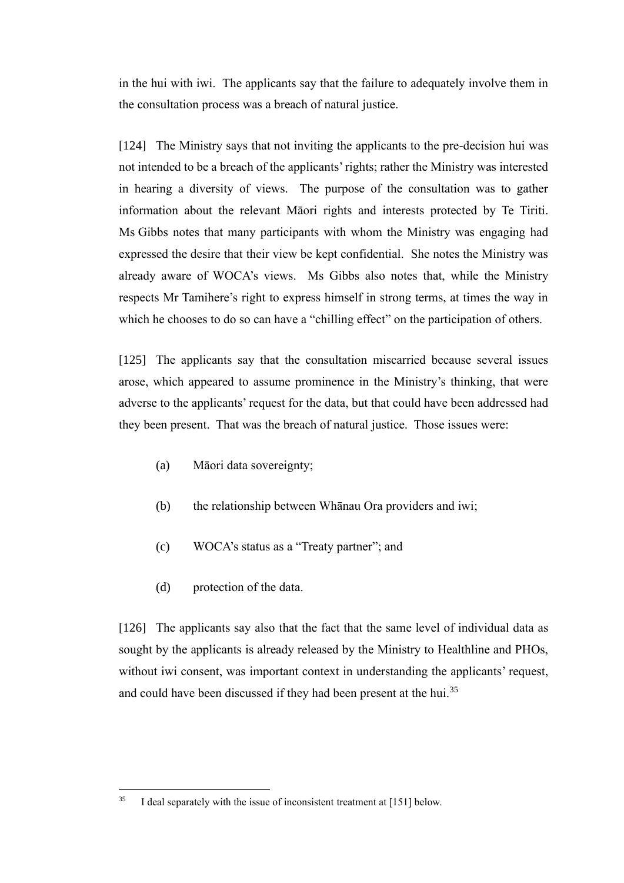in the hui with iwi. The applicants say that the failure to adequately involve them in the consultation process was a breach of natural justice.

[124] The Ministry says that not inviting the applicants to the pre-decision hui was not intended to be a breach of the applicants' rights; rather the Ministry was interested in hearing a diversity of views. The purpose of the consultation was to gather information about the relevant Māori rights and interests protected by Te Tiriti. Ms Gibbs notes that many participants with whom the Ministry was engaging had expressed the desire that their view be kept confidential. She notes the Ministry was already aware of WOCA's views. Ms Gibbs also notes that, while the Ministry respects Mr Tamihere's right to express himself in strong terms, at times the way in which he chooses to do so can have a "chilling effect" on the participation of others.

[125] The applicants say that the consultation miscarried because several issues arose, which appeared to assume prominence in the Ministry's thinking, that were adverse to the applicants' request for the data, but that could have been addressed had they been present. That was the breach of natural justice. Those issues were:

- (a) Māori data sovereignty;
- (b) the relationship between Whānau Ora providers and iwi;
- (c) WOCA's status as a "Treaty partner"; and
- (d) protection of the data.

<span id="page-38-0"></span>[126] The applicants say also that the fact that the same level of individual data as sought by the applicants is already released by the Ministry to Healthline and PHOs, without iwi consent, was important context in understanding the applicants' request, and could have been discussed if they had been present at the hui.<sup>35</sup>

<sup>35</sup> I deal separately with the issue of inconsistent treatment at [\[151\]](#page-44-1) below.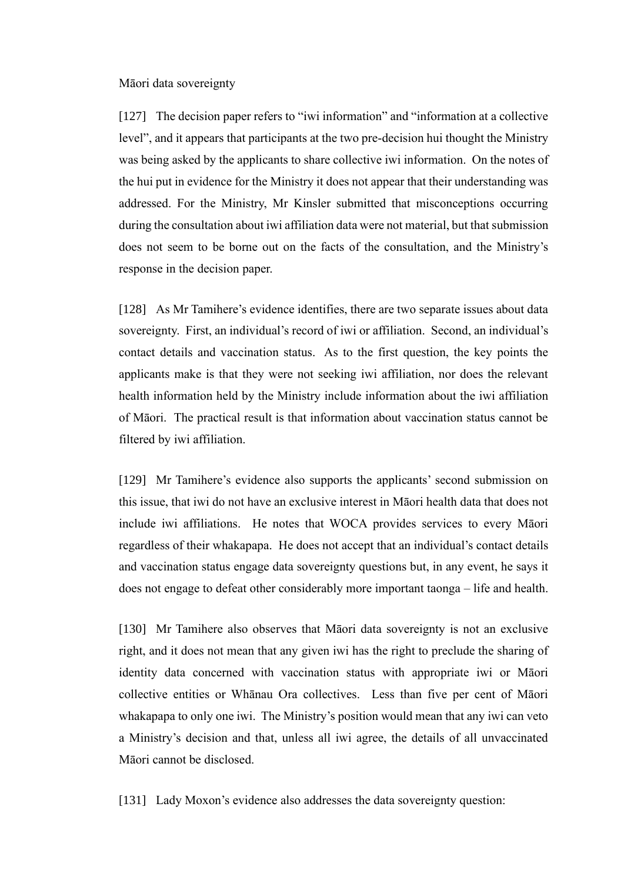#### <span id="page-39-0"></span>Māori data sovereignty

[127] The decision paper refers to "iwi information" and "information at a collective level", and it appears that participants at the two pre-decision hui thought the Ministry was being asked by the applicants to share collective iwi information. On the notes of the hui put in evidence for the Ministry it does not appear that their understanding was addressed. For the Ministry, Mr Kinsler submitted that misconceptions occurring during the consultation about iwi affiliation data were not material, but that submission does not seem to be borne out on the facts of the consultation, and the Ministry's response in the decision paper.

<span id="page-39-1"></span>[128] As Mr Tamihere's evidence identifies, there are two separate issues about data sovereignty. First, an individual's record of iwi or affiliation. Second, an individual's contact details and vaccination status. As to the first question, the key points the applicants make is that they were not seeking iwi affiliation, nor does the relevant health information held by the Ministry include information about the iwi affiliation of Māori. The practical result is that information about vaccination status cannot be filtered by iwi affiliation.

[129] Mr Tamihere's evidence also supports the applicants' second submission on this issue, that iwi do not have an exclusive interest in Māori health data that does not include iwi affiliations. He notes that WOCA provides services to every Māori regardless of their whakapapa. He does not accept that an individual's contact details and vaccination status engage data sovereignty questions but, in any event, he says it does not engage to defeat other considerably more important taonga – life and health.

[130] Mr Tamihere also observes that Māori data sovereignty is not an exclusive right, and it does not mean that any given iwi has the right to preclude the sharing of identity data concerned with vaccination status with appropriate iwi or Māori collective entities or Whānau Ora collectives. Less than five per cent of Māori whakapapa to only one iwi. The Ministry's position would mean that any iwi can veto a Ministry's decision and that, unless all iwi agree, the details of all unvaccinated Māori cannot be disclosed.

[131] Lady Moxon's evidence also addresses the data sovereignty question: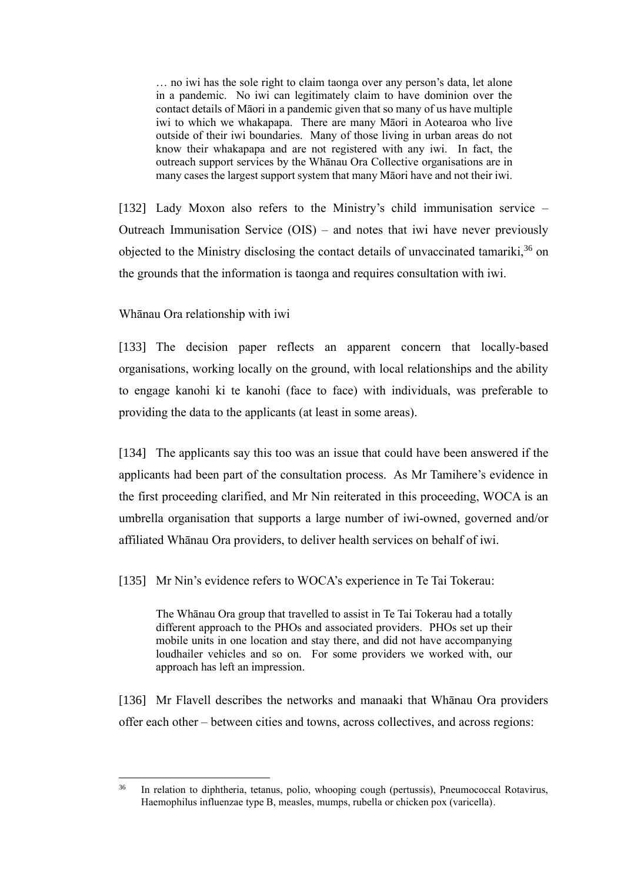… no iwi has the sole right to claim taonga over any person's data, let alone in a pandemic. No iwi can legitimately claim to have dominion over the contact details of Māori in a pandemic given that so many of us have multiple iwi to which we whakapapa. There are many Māori in Aotearoa who live outside of their iwi boundaries. Many of those living in urban areas do not know their whakapapa and are not registered with any iwi. In fact, the outreach support services by the Whānau Ora Collective organisations are in many cases the largest support system that many Māori have and not their iwi.

[132] Lady Moxon also refers to the Ministry's child immunisation service – Outreach Immunisation Service (OIS) – and notes that iwi have never previously objected to the Ministry disclosing the contact details of unvaccinated tamariki,  $36$  on the grounds that the information is taonga and requires consultation with iwi.

#### <span id="page-40-0"></span>Whānau Ora relationship with iwi

[133] The decision paper reflects an apparent concern that locally-based organisations, working locally on the ground, with local relationships and the ability to engage kanohi ki te kanohi (face to face) with individuals, was preferable to providing the data to the applicants (at least in some areas).

[134] The applicants say this too was an issue that could have been answered if the applicants had been part of the consultation process. As Mr Tamihere's evidence in the first proceeding clarified, and Mr Nin reiterated in this proceeding, WOCA is an umbrella organisation that supports a large number of iwi-owned, governed and/or affiliated Whānau Ora providers, to deliver health services on behalf of iwi.

[135] Mr Nin's evidence refers to WOCA's experience in Te Tai Tokerau:

The Whānau Ora group that travelled to assist in Te Tai Tokerau had a totally different approach to the PHOs and associated providers. PHOs set up their mobile units in one location and stay there, and did not have accompanying loudhailer vehicles and so on. For some providers we worked with, our approach has left an impression.

[136] Mr Flavell describes the networks and manaaki that Whānau Ora providers offer each other – between cities and towns, across collectives, and across regions:

<sup>36</sup> In relation to diphtheria, tetanus, polio, whooping cough (pertussis), Pneumococcal Rotavirus, Haemophilus influenzae type B, measles, mumps, rubella or chicken pox (varicella).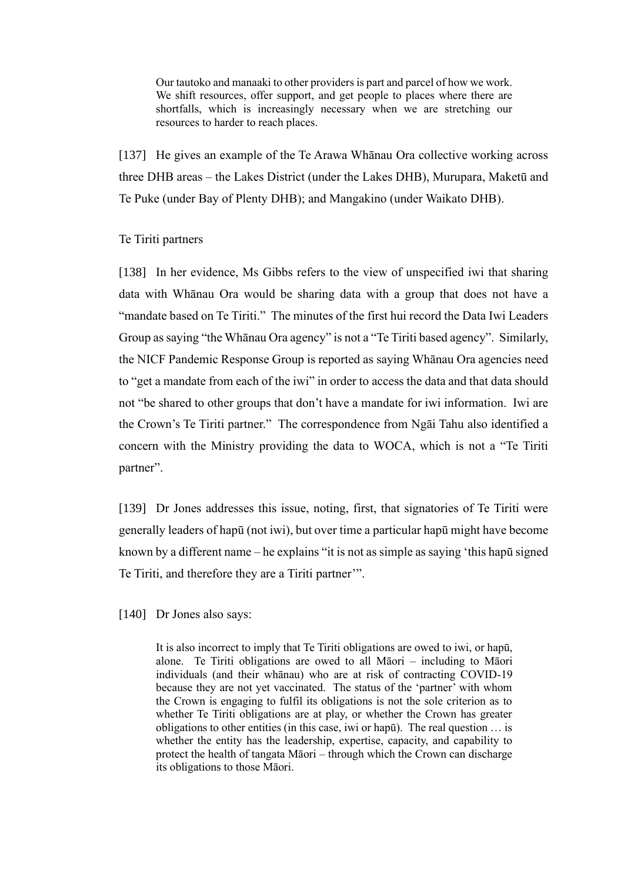Our tautoko and manaaki to other providers is part and parcel of how we work. We shift resources, offer support, and get people to places where there are shortfalls, which is increasingly necessary when we are stretching our resources to harder to reach places.

[137] He gives an example of the Te Arawa Whanau Ora collective working across three DHB areas – the Lakes District (under the Lakes DHB), Murupara, Maketū and Te Puke (under Bay of Plenty DHB); and Mangakino (under Waikato DHB).

#### <span id="page-41-0"></span>Te Tiriti partners

[138] In her evidence, Ms Gibbs refers to the view of unspecified iwi that sharing data with Whānau Ora would be sharing data with a group that does not have a "mandate based on Te Tiriti." The minutes of the first hui record the Data Iwi Leaders Group as saying "the Whānau Ora agency" is not a "Te Tiriti based agency". Similarly, the NICF Pandemic Response Group is reported as saying Whānau Ora agencies need to "get a mandate from each of the iwi" in order to access the data and that data should not "be shared to other groups that don't have a mandate for iwi information. Iwi are the Crown's Te Tiriti partner." The correspondence from Ngāi Tahu also identified a concern with the Ministry providing the data to WOCA, which is not a "Te Tiriti partner".

[139] Dr Jones addresses this issue, noting, first, that signatories of Te Tiriti were generally leaders of hapū (not iwi), but over time a particular hapū might have become known by a different name – he explains "it is not as simple as saying 'this hapū signed Te Tiriti, and therefore they are a Tiriti partner'".

[140] Dr Jones also says:

It is also incorrect to imply that Te Tiriti obligations are owed to iwi, or hapū, alone. Te Tiriti obligations are owed to all Māori – including to Māori individuals (and their whānau) who are at risk of contracting COVID-19 because they are not yet vaccinated. The status of the 'partner' with whom the Crown is engaging to fulfil its obligations is not the sole criterion as to whether Te Tiriti obligations are at play, or whether the Crown has greater obligations to other entities (in this case, iwi or hapū). The real question … is whether the entity has the leadership, expertise, capacity, and capability to protect the health of tangata Māori – through which the Crown can discharge its obligations to those Māori.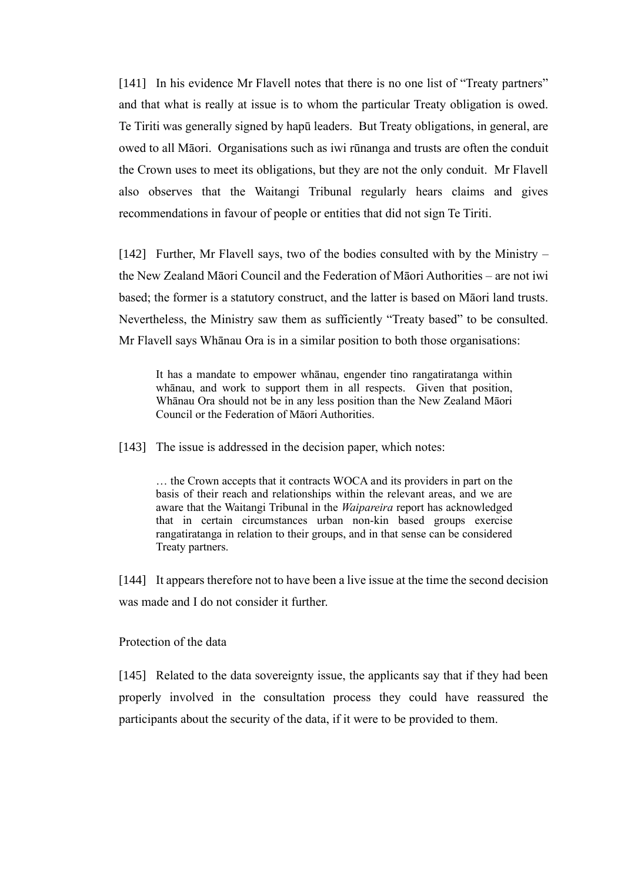[141] In his evidence Mr Flavell notes that there is no one list of "Treaty partners" and that what is really at issue is to whom the particular Treaty obligation is owed. Te Tiriti was generally signed by hapū leaders. But Treaty obligations, in general, are owed to all Māori. Organisations such as iwi rūnanga and trusts are often the conduit the Crown uses to meet its obligations, but they are not the only conduit. Mr Flavell also observes that the Waitangi Tribunal regularly hears claims and gives recommendations in favour of people or entities that did not sign Te Tiriti.

[142] Further, Mr Flavell says, two of the bodies consulted with by the Ministry – the New Zealand Māori Council and the Federation of Māori Authorities – are not iwi based; the former is a statutory construct, and the latter is based on Māori land trusts. Nevertheless, the Ministry saw them as sufficiently "Treaty based" to be consulted. Mr Flavell says Whānau Ora is in a similar position to both those organisations:

It has a mandate to empower whānau, engender tino rangatiratanga within whānau, and work to support them in all respects. Given that position, Whānau Ora should not be in any less position than the New Zealand Māori Council or the Federation of Māori Authorities.

[143] The issue is addressed in the decision paper, which notes:

… the Crown accepts that it contracts WOCA and its providers in part on the basis of their reach and relationships within the relevant areas, and we are aware that the Waitangi Tribunal in the *Waipareira* report has acknowledged that in certain circumstances urban non-kin based groups exercise rangatiratanga in relation to their groups, and in that sense can be considered Treaty partners.

[144] It appears therefore not to have been a live issue at the time the second decision was made and I do not consider it further.

## <span id="page-42-0"></span>Protection of the data

[145] Related to the data sovereignty issue, the applicants say that if they had been properly involved in the consultation process they could have reassured the participants about the security of the data, if it were to be provided to them.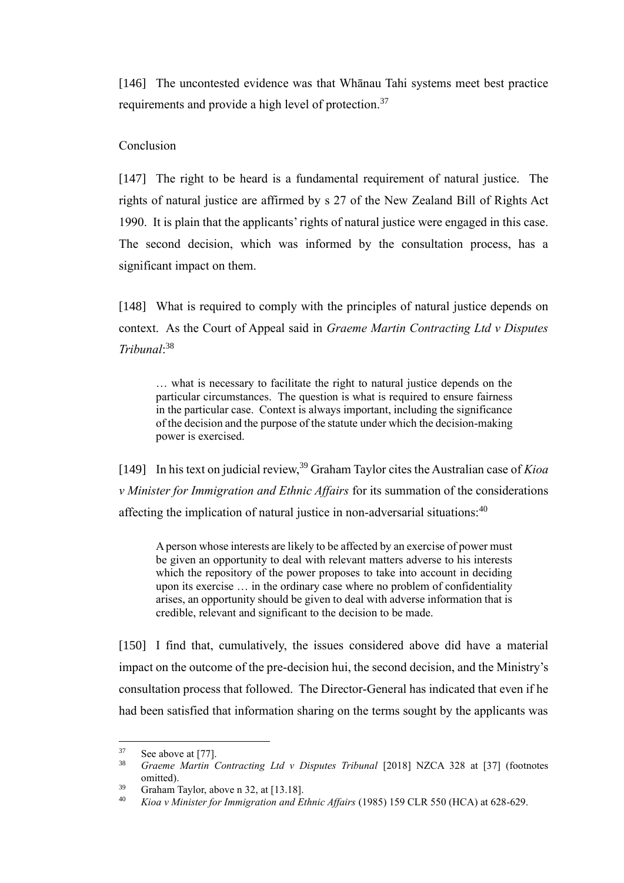[146] The uncontested evidence was that Whānau Tahi systems meet best practice requirements and provide a high level of protection.<sup>37</sup>

## <span id="page-43-0"></span>Conclusion

[147] The right to be heard is a fundamental requirement of natural justice. The rights of natural justice are affirmed by s 27 of the New Zealand Bill of Rights Act 1990. It is plain that the applicants' rights of natural justice were engaged in this case. The second decision, which was informed by the consultation process, has a significant impact on them.

[148] What is required to comply with the principles of natural justice depends on context. As the Court of Appeal said in *Graeme Martin Contracting Ltd v Disputes Tribunal*: 38

… what is necessary to facilitate the right to natural justice depends on the particular circumstances. The question is what is required to ensure fairness in the particular case. Context is always important, including the significance of the decision and the purpose of the statute under which the decision-making power is exercised.

[149] In his text on judicial review,<sup>39</sup> Graham Taylor cites the Australian case of *Kioa v Minister for Immigration and Ethnic Affairs* for its summation of the considerations affecting the implication of natural justice in non-adversarial situations:<sup>40</sup>

A person whose interests are likely to be affected by an exercise of power must be given an opportunity to deal with relevant matters adverse to his interests which the repository of the power proposes to take into account in deciding upon its exercise … in the ordinary case where no problem of confidentiality arises, an opportunity should be given to deal with adverse information that is credible, relevant and significant to the decision to be made.

[150] I find that, cumulatively, the issues considered above did have a material impact on the outcome of the pre-decision hui, the second decision, and the Ministry's consultation process that followed. The Director-General has indicated that even if he had been satisfied that information sharing on the terms sought by the applicants was

<sup>37</sup> See above a[t \[77\].](#page-25-0)

<sup>38</sup> *Graeme Martin Contracting Ltd v Disputes Tribunal* [2018] NZCA 328 at [37] (footnotes omitted).

<sup>39</sup> Graham Taylor, above [n 32,](#page-36-0) at [13.18].

<sup>40</sup> *Kioa v Minister for Immigration and Ethnic Affairs* (1985) 159 CLR 550 (HCA) at 628-629.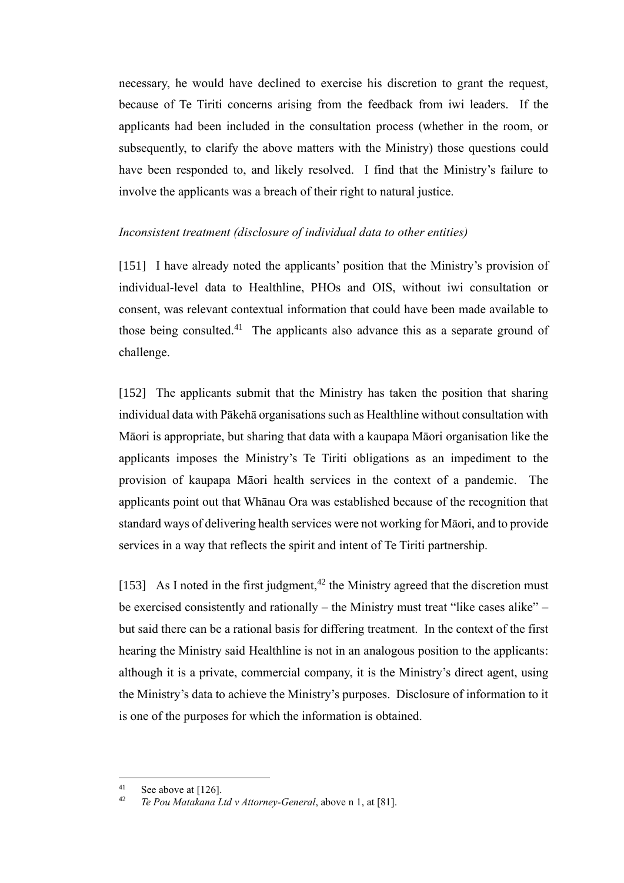necessary, he would have declined to exercise his discretion to grant the request, because of Te Tiriti concerns arising from the feedback from iwi leaders. If the applicants had been included in the consultation process (whether in the room, or subsequently, to clarify the above matters with the Ministry) those questions could have been responded to, and likely resolved. I find that the Ministry's failure to involve the applicants was a breach of their right to natural justice.

#### <span id="page-44-0"></span>*Inconsistent treatment (disclosure of individual data to other entities)*

<span id="page-44-1"></span>[151] I have already noted the applicants' position that the Ministry's provision of individual-level data to Healthline, PHOs and OIS, without iwi consultation or consent, was relevant contextual information that could have been made available to those being consulted.<sup>41</sup> The applicants also advance this as a separate ground of challenge.

[152] The applicants submit that the Ministry has taken the position that sharing individual data with Pākehā organisations such as Healthline without consultation with Māori is appropriate, but sharing that data with a kaupapa Māori organisation like the applicants imposes the Ministry's Te Tiriti obligations as an impediment to the provision of kaupapa Māori health services in the context of a pandemic. The applicants point out that Whānau Ora was established because of the recognition that standard ways of delivering health services were not working for Māori, and to provide services in a way that reflects the spirit and intent of Te Tiriti partnership.

[153] As I noted in the first judgment,<sup>42</sup> the Ministry agreed that the discretion must be exercised consistently and rationally – the Ministry must treat "like cases alike" – but said there can be a rational basis for differing treatment. In the context of the first hearing the Ministry said Healthline is not in an analogous position to the applicants: although it is a private, commercial company, it is the Ministry's direct agent, using the Ministry's data to achieve the Ministry's purposes. Disclosure of information to it is one of the purposes for which the information is obtained.

<sup>41</sup> <sup>41</sup> See above a[t \[126\].](#page-38-0)

<sup>42</sup> *Te Pou Matakana Ltd v Attorney-General*, above n [1,](#page-2-1) at [81].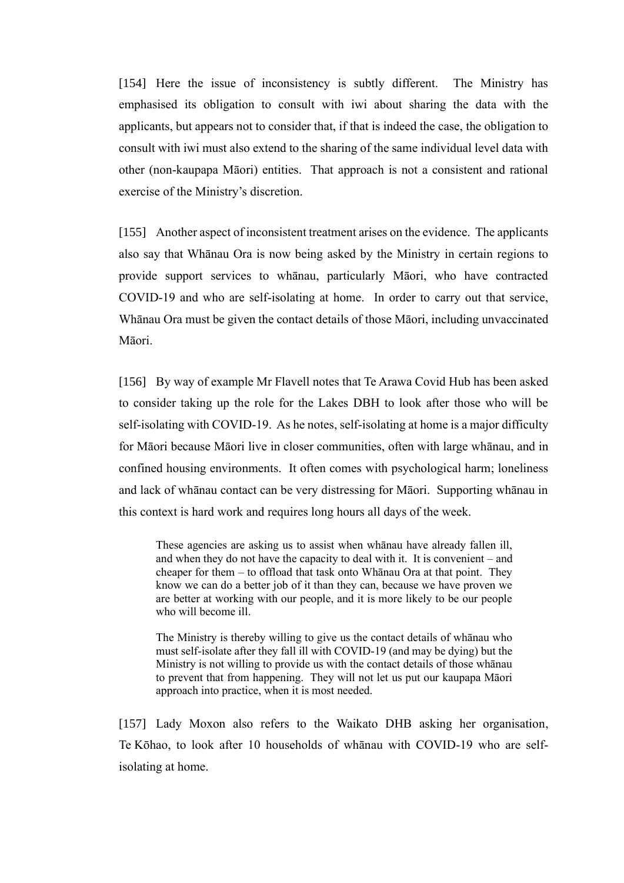[154] Here the issue of inconsistency is subtly different. The Ministry has emphasised its obligation to consult with iwi about sharing the data with the applicants, but appears not to consider that, if that is indeed the case, the obligation to consult with iwi must also extend to the sharing of the same individual level data with other (non-kaupapa Māori) entities. That approach is not a consistent and rational exercise of the Ministry's discretion.

[155] Another aspect of inconsistent treatment arises on the evidence. The applicants also say that Whānau Ora is now being asked by the Ministry in certain regions to provide support services to whānau, particularly Māori, who have contracted COVID-19 and who are self-isolating at home. In order to carry out that service, Whānau Ora must be given the contact details of those Māori, including unvaccinated Māori.

[156] By way of example Mr Flavell notes that Te Arawa Covid Hub has been asked to consider taking up the role for the Lakes DBH to look after those who will be self-isolating with COVID-19. As he notes, self-isolating at home is a major difficulty for Māori because Māori live in closer communities, often with large whānau, and in confined housing environments. It often comes with psychological harm; loneliness and lack of whānau contact can be very distressing for Māori. Supporting whānau in this context is hard work and requires long hours all days of the week.

These agencies are asking us to assist when whānau have already fallen ill, and when they do not have the capacity to deal with it. It is convenient – and cheaper for them – to offload that task onto Whānau Ora at that point. They know we can do a better job of it than they can, because we have proven we are better at working with our people, and it is more likely to be our people who will become ill.

The Ministry is thereby willing to give us the contact details of whānau who must self-isolate after they fall ill with COVID-19 (and may be dying) but the Ministry is not willing to provide us with the contact details of those whānau to prevent that from happening. They will not let us put our kaupapa Māori approach into practice, when it is most needed.

[157] Lady Moxon also refers to the Waikato DHB asking her organisation, Te Kōhao, to look after 10 households of whānau with COVID-19 who are selfisolating at home.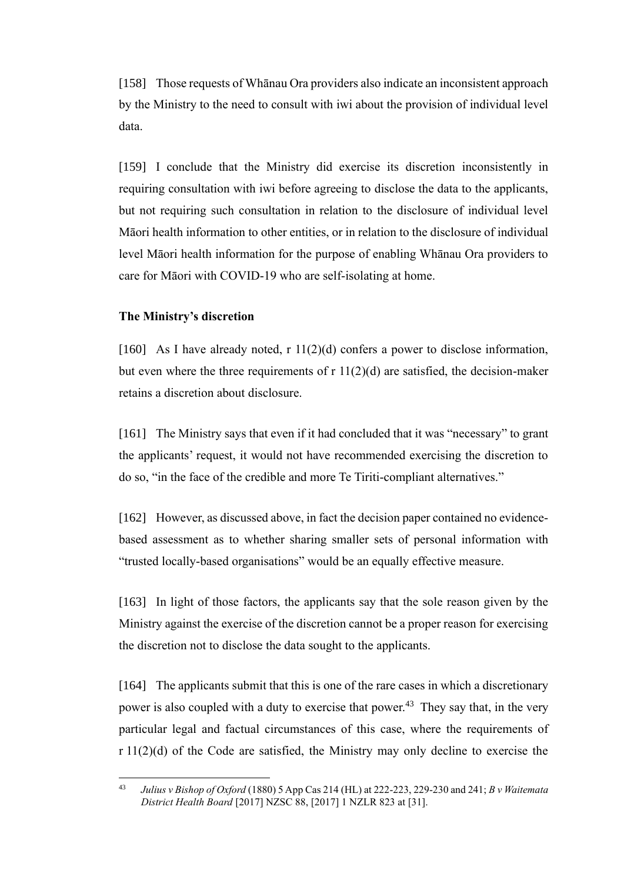[158] Those requests of Whānau Ora providers also indicate an inconsistent approach by the Ministry to the need to consult with iwi about the provision of individual level data.

[159] I conclude that the Ministry did exercise its discretion inconsistently in requiring consultation with iwi before agreeing to disclose the data to the applicants, but not requiring such consultation in relation to the disclosure of individual level Māori health information to other entities, or in relation to the disclosure of individual level Māori health information for the purpose of enabling Whānau Ora providers to care for Māori with COVID-19 who are self-isolating at home.

#### <span id="page-46-0"></span>**The Ministry's discretion**

[160] As I have already noted,  $r \frac{11(2)}{d}$  confers a power to disclose information, but even where the three requirements of  $r 11(2)(d)$  are satisfied, the decision-maker retains a discretion about disclosure.

[161] The Ministry says that even if it had concluded that it was "necessary" to grant the applicants' request, it would not have recommended exercising the discretion to do so, "in the face of the credible and more Te Tiriti-compliant alternatives."

[162] However, as discussed above, in fact the decision paper contained no evidencebased assessment as to whether sharing smaller sets of personal information with "trusted locally-based organisations" would be an equally effective measure.

[163] In light of those factors, the applicants say that the sole reason given by the Ministry against the exercise of the discretion cannot be a proper reason for exercising the discretion not to disclose the data sought to the applicants.

[164] The applicants submit that this is one of the rare cases in which a discretionary power is also coupled with a duty to exercise that power.<sup>43</sup> They say that, in the very particular legal and factual circumstances of this case, where the requirements of r 11(2)(d) of the Code are satisfied, the Ministry may only decline to exercise the

<sup>43</sup> *Julius v Bishop of Oxford* (1880) 5 App Cas 214 (HL) at 222-223, 229-230 and 241; *B v Waitemata District Health Board* [2017] NZSC 88, [2017] 1 NZLR 823 at [31].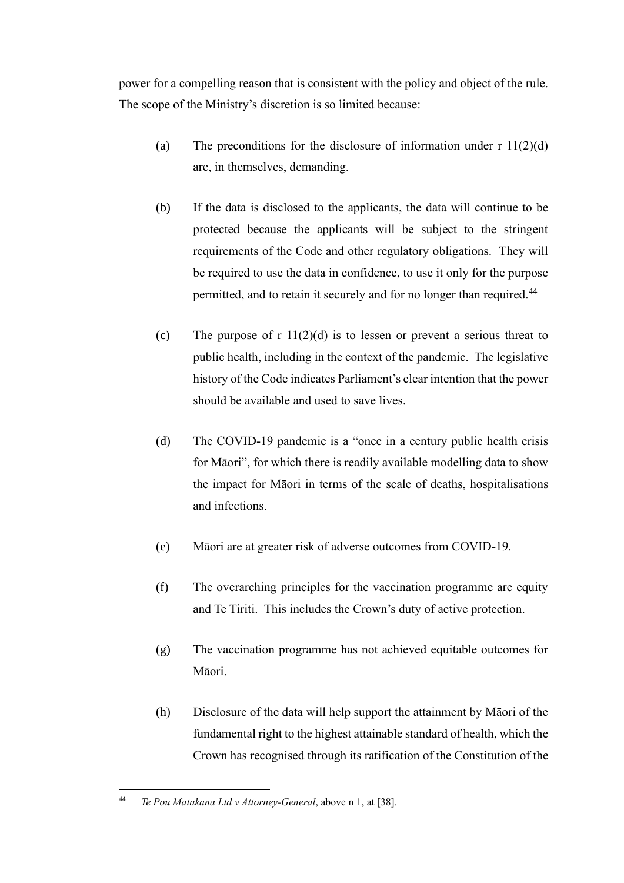power for a compelling reason that is consistent with the policy and object of the rule. The scope of the Ministry's discretion is so limited because:

- (a) The preconditions for the disclosure of information under  $r \frac{11(2)(d)}{d}$ are, in themselves, demanding.
- (b) If the data is disclosed to the applicants, the data will continue to be protected because the applicants will be subject to the stringent requirements of the Code and other regulatory obligations. They will be required to use the data in confidence, to use it only for the purpose permitted, and to retain it securely and for no longer than required.<sup>44</sup>
- (c) The purpose of  $r \frac{11(2)}{d}$  is to lessen or prevent a serious threat to public health, including in the context of the pandemic. The legislative history of the Code indicates Parliament's clear intention that the power should be available and used to save lives.
- (d) The COVID-19 pandemic is a "once in a century public health crisis for Māori", for which there is readily available modelling data to show the impact for Māori in terms of the scale of deaths, hospitalisations and infections.
- (e) Māori are at greater risk of adverse outcomes from COVID-19.
- (f) The overarching principles for the vaccination programme are equity and Te Tiriti. This includes the Crown's duty of active protection.
- (g) The vaccination programme has not achieved equitable outcomes for Māori.
- (h) Disclosure of the data will help support the attainment by Māori of the fundamental right to the highest attainable standard of health, which the Crown has recognised through its ratification of the Constitution of the

<sup>44</sup> *Te Pou Matakana Ltd v Attorney-General*, above n [1,](#page-2-1) at [38].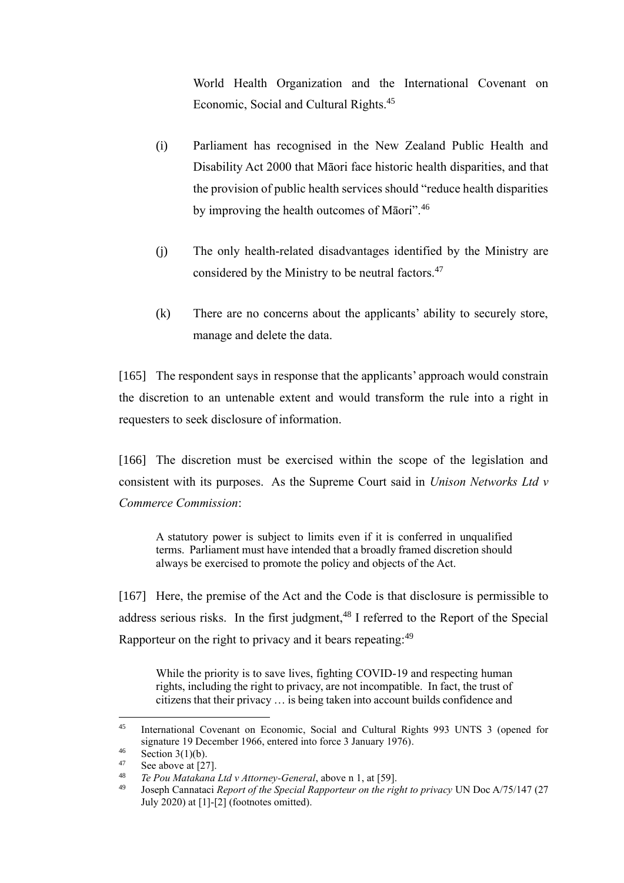World Health Organization and the International Covenant on Economic, Social and Cultural Rights.<sup>45</sup>

- (i) Parliament has recognised in the New Zealand Public Health and Disability Act 2000 that Māori face historic health disparities, and that the provision of public health services should "reduce health disparities by improving the health outcomes of Māori".<sup>46</sup>
- (j) The only health-related disadvantages identified by the Ministry are considered by the Ministry to be neutral factors.<sup>47</sup>
- (k) There are no concerns about the applicants' ability to securely store, manage and delete the data.

[165] The respondent says in response that the applicants' approach would constrain the discretion to an untenable extent and would transform the rule into a right in requesters to seek disclosure of information.

[166] The discretion must be exercised within the scope of the legislation and consistent with its purposes. As the Supreme Court said in *Unison Networks Ltd v Commerce Commission*:

A statutory power is subject to limits even if it is conferred in unqualified terms. Parliament must have intended that a broadly framed discretion should always be exercised to promote the policy and objects of the Act.

[167] Here, the premise of the Act and the Code is that disclosure is permissible to address serious risks. In the first judgment,  $48$  I referred to the Report of the Special Rapporteur on the right to privacy and it bears repeating:<sup>49</sup>

While the priority is to save lives, fighting COVID-19 and respecting human rights, including the right to privacy, are not incompatible. In fact, the trust of citizens that their privacy … is being taken into account builds confidence and

<sup>45</sup> International Covenant on Economic, Social and Cultural Rights 993 UNTS 3 (opened for signature 19 December 1966, entered into force 3 January 1976).

 $^{46}$  Section 3(1)(b).

 $^{47}$  See above a[t \[27\].](#page-10-0)

<sup>48</sup> *Te Pou Matakana Ltd v Attorney-General*, above n [1,](#page-2-1) at [59].

<sup>49</sup> Joseph Cannataci *Report of the Special Rapporteur on the right to privacy* UN Doc A/75/147 (27 July 2020) at [1]-[2] (footnotes omitted).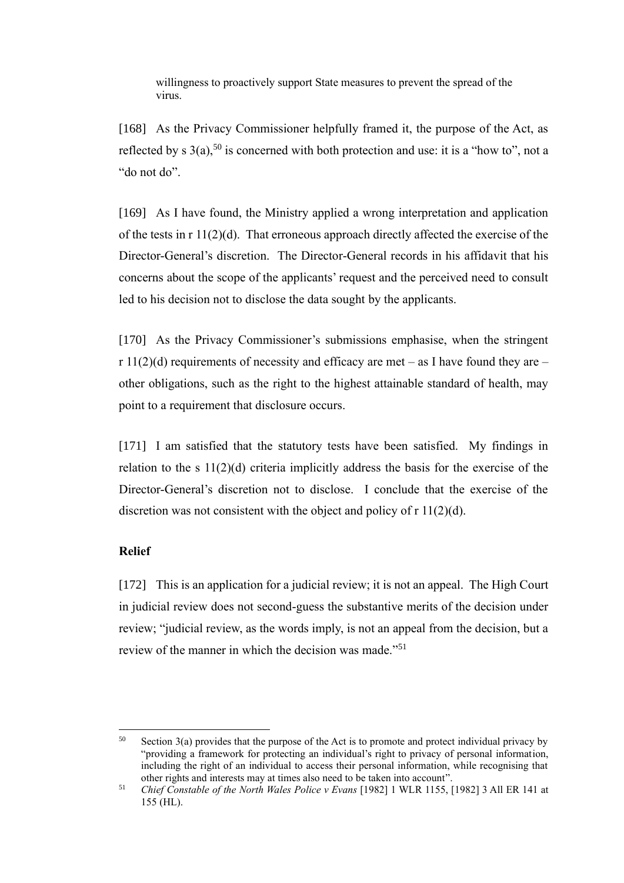willingness to proactively support State measures to prevent the spread of the virus.

[168] As the Privacy Commissioner helpfully framed it, the purpose of the Act, as reflected by s  $3(a)$ ,  $50$  is concerned with both protection and use: it is a "how to", not a "do not do".

[169] As I have found, the Ministry applied a wrong interpretation and application of the tests in r 11(2)(d). That erroneous approach directly affected the exercise of the Director-General's discretion. The Director-General records in his affidavit that his concerns about the scope of the applicants' request and the perceived need to consult led to his decision not to disclose the data sought by the applicants.

[170] As the Privacy Commissioner's submissions emphasise, when the stringent r  $11(2)(d)$  requirements of necessity and efficacy are met – as I have found they are – other obligations, such as the right to the highest attainable standard of health, may point to a requirement that disclosure occurs.

[171] I am satisfied that the statutory tests have been satisfied. My findings in relation to the s  $11(2)(d)$  criteria implicitly address the basis for the exercise of the Director-General's discretion not to disclose. I conclude that the exercise of the discretion was not consistent with the object and policy of r 11(2)(d).

### <span id="page-49-0"></span>**Relief**

[172] This is an application for a judicial review; it is not an appeal. The High Court in judicial review does not second-guess the substantive merits of the decision under review; "judicial review, as the words imply, is not an appeal from the decision, but a review of the manner in which the decision was made."<sup>51</sup>

 $50$  Section 3(a) provides that the purpose of the Act is to promote and protect individual privacy by "providing a framework for protecting an individual's right to privacy of personal information, including the right of an individual to access their personal information, while recognising that other rights and interests may at times also need to be taken into account".

<sup>51</sup> *Chief Constable of the North Wales Police v Evans* [1982] 1 WLR 1155, [1982] 3 All ER 141 at 155 (HL).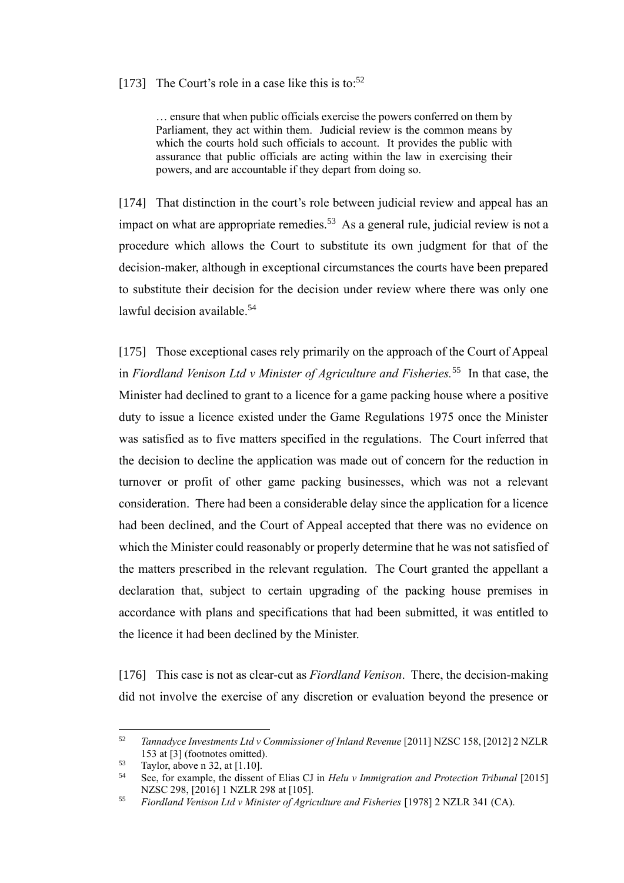## [173] The Court's role in a case like this is to:<sup>52</sup>

… ensure that when public officials exercise the powers conferred on them by Parliament, they act within them. Judicial review is the common means by which the courts hold such officials to account. It provides the public with assurance that public officials are acting within the law in exercising their powers, and are accountable if they depart from doing so.

[174] That distinction in the court's role between judicial review and appeal has an impact on what are appropriate remedies.<sup>53</sup> As a general rule, judicial review is not a procedure which allows the Court to substitute its own judgment for that of the decision-maker, although in exceptional circumstances the courts have been prepared to substitute their decision for the decision under review where there was only one lawful decision available.<sup>54</sup>

[175] Those exceptional cases rely primarily on the approach of the Court of Appeal in *Fiordland Venison Ltd v Minister of Agriculture and Fisheries.*<sup>55</sup> In that case, the Minister had declined to grant to a licence for a game packing house where a positive duty to issue a licence existed under the Game Regulations 1975 once the Minister was satisfied as to five matters specified in the regulations. The Court inferred that the decision to decline the application was made out of concern for the reduction in turnover or profit of other game packing businesses, which was not a relevant consideration. There had been a considerable delay since the application for a licence had been declined, and the Court of Appeal accepted that there was no evidence on which the Minister could reasonably or properly determine that he was not satisfied of the matters prescribed in the relevant regulation. The Court granted the appellant a declaration that, subject to certain upgrading of the packing house premises in accordance with plans and specifications that had been submitted, it was entitled to the licence it had been declined by the Minister.

[176] This case is not as clear-cut as *Fiordland Venison*. There, the decision-making did not involve the exercise of any discretion or evaluation beyond the presence or

<sup>&</sup>lt;sup>52</sup> *Tannadyce Investments Ltd v Commissioner of Inland Revenue* [2011] NZSC 158, [2012] 2 NZLR 153 at [3] (footnotes omitted).

<sup>53</sup> Taylor, above n [32,](#page-36-0) at [1.10].

<sup>54</sup> See, for example, the dissent of Elias CJ in *Helu v Immigration and Protection Tribunal* [2015] NZSC 298, [2016] 1 NZLR 298 at [105].

<sup>55</sup> *Fiordland Venison Ltd v Minister of Agriculture and Fisheries* [1978] 2 NZLR 341 (CA).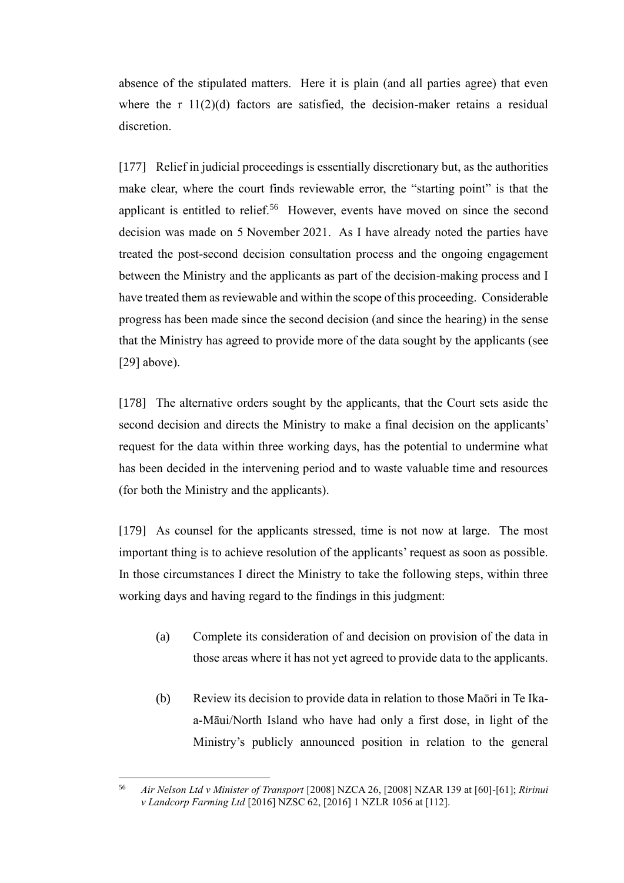absence of the stipulated matters. Here it is plain (and all parties agree) that even where the r  $11(2)(d)$  factors are satisfied, the decision-maker retains a residual discretion.

[177] Relief in judicial proceedings is essentially discretionary but, as the authorities make clear, where the court finds reviewable error, the "starting point" is that the applicant is entitled to relief.<sup>56</sup> However, events have moved on since the second decision was made on 5 November 2021. As I have already noted the parties have treated the post-second decision consultation process and the ongoing engagement between the Ministry and the applicants as part of the decision-making process and I have treated them as reviewable and within the scope of this proceeding. Considerable progress has been made since the second decision (and since the hearing) in the sense that the Ministry has agreed to provide more of the data sought by the applicants (see [\[29\]](#page-11-0) above).

[178] The alternative orders sought by the applicants, that the Court sets aside the second decision and directs the Ministry to make a final decision on the applicants' request for the data within three working days, has the potential to undermine what has been decided in the intervening period and to waste valuable time and resources (for both the Ministry and the applicants).

[179] As counsel for the applicants stressed, time is not now at large. The most important thing is to achieve resolution of the applicants' request as soon as possible. In those circumstances I direct the Ministry to take the following steps, within three working days and having regard to the findings in this judgment:

- (a) Complete its consideration of and decision on provision of the data in those areas where it has not yet agreed to provide data to the applicants.
- (b) Review its decision to provide data in relation to those Maōri in Te Ikaa-Māui/North Island who have had only a first dose, in light of the Ministry's publicly announced position in relation to the general

<sup>56</sup> *Air Nelson Ltd v Minister of Transport* [2008] NZCA 26, [2008] NZAR 139 at [60]-[61]; *Ririnui v Landcorp Farming Ltd* [2016] NZSC 62, [2016] 1 NZLR 1056 at [112].